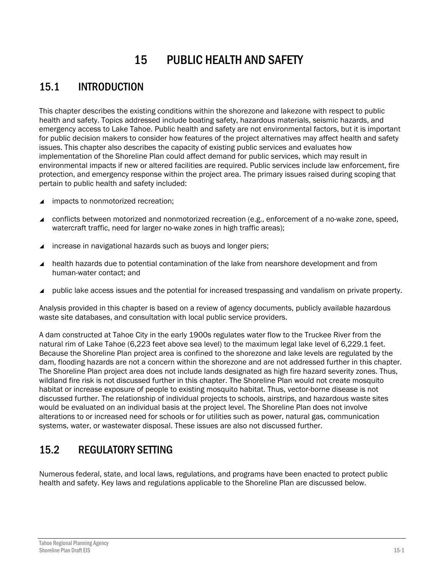# 15 PUBLIC HEALTH AND SAFETY

# 15.1 INTRODUCTION

This chapter describes the existing conditions within the shorezone and lakezone with respect to public health and safety. Topics addressed include boating safety, hazardous materials, seismic hazards, and emergency access to Lake Tahoe. Public health and safety are not environmental factors, but it is important for public decision makers to consider how features of the project alternatives may affect health and safety issues. This chapter also describes the capacity of existing public services and evaluates how implementation of the Shoreline Plan could affect demand for public services, which may result in environmental impacts if new or altered facilities are required. Public services include law enforcement, fire protection, and emergency response within the project area. The primary issues raised during scoping that pertain to public health and safety included:

- ▲ impacts to nonmotorized recreation:
- conflicts between motorized and nonmotorized recreation (e.g., enforcement of a no-wake zone, speed, watercraft traffic, need for larger no-wake zones in high traffic areas);
- ▲ increase in navigational hazards such as buoys and longer piers;
- health hazards due to potential contamination of the lake from nearshore development and from human-water contact; and
- public lake access issues and the potential for increased trespassing and vandalism on private property.

Analysis provided in this chapter is based on a review of agency documents, publicly available hazardous waste site databases, and consultation with local public service providers.

A dam constructed at Tahoe City in the early 1900s regulates water flow to the Truckee River from the natural rim of Lake Tahoe (6,223 feet above sea level) to the maximum legal lake level of 6,229.1 feet. Because the Shoreline Plan project area is confined to the shorezone and lake levels are regulated by the dam, flooding hazards are not a concern within the shorezone and are not addressed further in this chapter. The Shoreline Plan project area does not include lands designated as high fire hazard severity zones. Thus, wildland fire risk is not discussed further in this chapter. The Shoreline Plan would not create mosquito habitat or increase exposure of people to existing mosquito habitat. Thus, vector-borne disease is not discussed further. The relationship of individual projects to schools, airstrips, and hazardous waste sites would be evaluated on an individual basis at the project level. The Shoreline Plan does not involve alterations to or increased need for schools or for utilities such as power, natural gas, communication systems, water, or wastewater disposal. These issues are also not discussed further.

# 15.2 REGULATORY SETTING

Numerous federal, state, and local laws, regulations, and programs have been enacted to protect public health and safety. Key laws and regulations applicable to the Shoreline Plan are discussed below.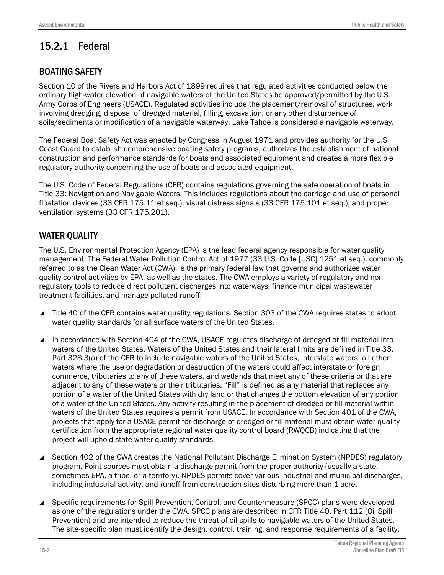# 15.2.1 Federal

## BOATING SAFETY

Section 10 of the Rivers and Harbors Act of 1899 requires that regulated activities conducted below the ordinary high-water elevation of navigable waters of the United States be approved/permitted by the U.S. Army Corps of Engineers (USACE). Regulated activities include the placement/removal of structures, work involving dredging, disposal of dredged material, filling, excavation, or any other disturbance of soils/sediments or modification of a navigable waterway. Lake Tahoe is considered a navigable waterway.

The Federal Boat Safety Act was enacted by Congress in August 1971 and provides authority for the U.S Coast Guard to establish comprehensive boating safety programs, authorizes the establishment of national construction and performance standards for boats and associated equipment and creates a more flexible regulatory authority concerning the use of boats and associated equipment.

The U.S. Code of Federal Regulations (CFR) contains regulations governing the safe operation of boats in Title 33: Navigation and Navigable Waters. This includes regulations about the carriage and use of personal floatation devices (33 CFR 175.11 et seq.), visual distress signals (33 CFR 175.101 et seq.), and proper ventilation systems (33 CFR 175.201).

## WATER QUALITY

The U.S. Environmental Protection Agency (EPA) is the lead federal agency responsible for water quality management. The Federal Water Pollution Control Act of 1977 (33 U.S. Code [USC] 1251 et seq.), commonly referred to as the Clean Water Act (CWA), is the primary federal law that governs and authorizes water quality control activities by EPA, as well as the states. The CWA employs a variety of regulatory and nonregulatory tools to reduce direct pollutant discharges into waterways, finance municipal wastewater treatment facilities, and manage polluted runoff:

- Title 40 of the CFR contains water quality regulations. Section 303 of the CWA requires states to adopt water quality standards for all surface waters of the United States.
- In accordance with Section 404 of the CWA, USACE regulates discharge of dredged or fill material into waters of the United States. Waters of the United States and their lateral limits are defined in Title 33, Part 328.3(a) of the CFR to include navigable waters of the United States, interstate waters, all other waters where the use or degradation or destruction of the waters could affect interstate or foreign commerce, tributaries to any of these waters, and wetlands that meet any of these criteria or that are adjacent to any of these waters or their tributaries. "Fill" is defined as any material that replaces any portion of a water of the United States with dry land or that changes the bottom elevation of any portion of a water of the United States. Any activity resulting in the placement of dredged or fill material within waters of the United States requires a permit from USACE. In accordance with Section 401 of the CWA, projects that apply for a USACE permit for discharge of dredged or fill material must obtain water quality certification from the appropriate regional water quality control board (RWQCB) indicating that the project will uphold state water quality standards.
- Section 402 of the CWA creates the National Pollutant Discharge Elimination System (NPDES) regulatory program. Point sources must obtain a discharge permit from the proper authority (usually a state, sometimes EPA, a tribe, or a territory). NPDES permits cover various industrial and municipal discharges, including industrial activity, and runoff from construction sites disturbing more than 1 acre.
- ▲ Specific requirements for Spill Prevention, Control, and Countermeasure (SPCC) plans were developed as one of the regulations under the CWA. SPCC plans are described in CFR Title 40, Part 112 (Oil Spill Prevention) and are intended to reduce the threat of oil spills to navigable waters of the United States. The site-specific plan must identify the design, control, training, and response requirements of a facility.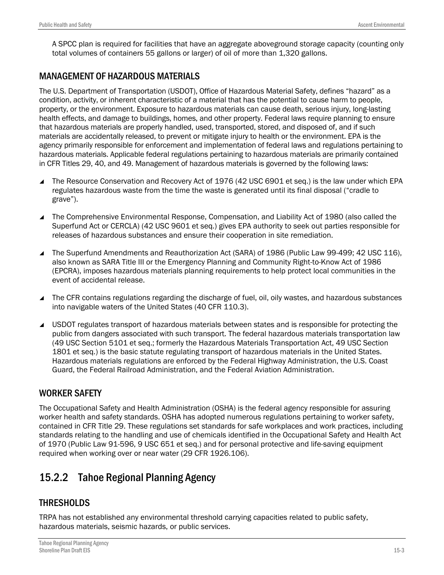A SPCC plan is required for facilities that have an aggregate aboveground storage capacity (counting only total volumes of containers 55 gallons or larger) of oil of more than 1,320 gallons.

## MANAGEMENT OF HAZARDOUS MATERIALS

The U.S. Department of Transportation (USDOT), Office of Hazardous Material Safety, defines "hazard" as a condition, activity, or inherent characteristic of a material that has the potential to cause harm to people, property, or the environment. Exposure to hazardous materials can cause death, serious injury, long-lasting health effects, and damage to buildings, homes, and other property. Federal laws require planning to ensure that hazardous materials are properly handled, used, transported, stored, and disposed of, and if such materials are accidentally released, to prevent or mitigate injury to health or the environment. EPA is the agency primarily responsible for enforcement and implementation of federal laws and regulations pertaining to hazardous materials. Applicable federal regulations pertaining to hazardous materials are primarily contained in CFR Titles 29, 40, and 49. Management of hazardous materials is governed by the following laws:

- The Resource Conservation and Recovery Act of 1976 (42 USC 6901 et seq.) is the law under which EPA regulates hazardous waste from the time the waste is generated until its final disposal ("cradle to grave").
- The Comprehensive Environmental Response, Compensation, and Liability Act of 1980 (also called the Superfund Act or CERCLA) (42 USC 9601 et seq.) gives EPA authority to seek out parties responsible for releases of hazardous substances and ensure their cooperation in site remediation.
- The Superfund Amendments and Reauthorization Act (SARA) of 1986 (Public Law 99-499; 42 USC 116), also known as SARA Title III or the Emergency Planning and Community Right-to-Know Act of 1986 (EPCRA), imposes hazardous materials planning requirements to help protect local communities in the event of accidental release.
- The CFR contains regulations regarding the discharge of fuel, oil, oily wastes, and hazardous substances into navigable waters of the United States (40 CFR 110.3).
- USDOT regulates transport of hazardous materials between states and is responsible for protecting the public from dangers associated with such transport. The federal hazardous materials transportation law (49 USC Section 5101 et seq.; formerly the Hazardous Materials Transportation Act, 49 USC Section 1801 et seq.) is the basic statute regulating transport of hazardous materials in the United States. Hazardous materials regulations are enforced by the Federal Highway Administration, the U.S. Coast Guard, the Federal Railroad Administration, and the Federal Aviation Administration.

### WORKER SAFETY

The Occupational Safety and Health Administration (OSHA) is the federal agency responsible for assuring worker health and safety standards. OSHA has adopted numerous regulations pertaining to worker safety, contained in CFR Title 29. These regulations set standards for safe workplaces and work practices, including standards relating to the handling and use of chemicals identified in the Occupational Safety and Health Act of 1970 (Public Law 91-596, 9 USC 651 et seq.) and for personal protective and life-saving equipment required when working over or near water (29 CFR 1926.106).

# 15.2.2 Tahoe Regional Planning Agency

## **THRESHOLDS**

TRPA has not established any environmental threshold carrying capacities related to public safety, hazardous materials, seismic hazards, or public services.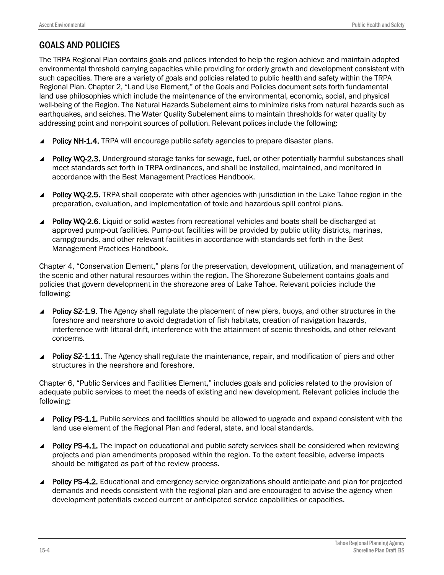## GOALS AND POLICIES

The TRPA Regional Plan contains goals and polices intended to help the region achieve and maintain adopted environmental threshold carrying capacities while providing for orderly growth and development consistent with such capacities. There are a variety of goals and policies related to public health and safety within the TRPA Regional Plan. Chapter 2, "Land Use Element," of the Goals and Policies document sets forth fundamental land use philosophies which include the maintenance of the environmental, economic, social, and physical well-being of the Region. The Natural Hazards Subelement aims to minimize risks from natural hazards such as earthquakes, and seiches. The Water Quality Subelement aims to maintain thresholds for water quality by addressing point and non-point sources of pollution. Relevant polices include the following:

- Policy NH-1.4. TRPA will encourage public safety agencies to prepare disaster plans.
- Policy WQ-2.3. Underground storage tanks for sewage, fuel, or other potentially harmful substances shall meet standards set forth in TRPA ordinances, and shall be installed, maintained, and monitored in accordance with the Best Management Practices Handbook.
- Policy WQ-2.5. TRPA shall cooperate with other agencies with jurisdiction in the Lake Tahoe region in the preparation, evaluation, and implementation of toxic and hazardous spill control plans.
- Policy WO-2.6. Liquid or solid wastes from recreational vehicles and boats shall be discharged at approved pump-out facilities. Pump-out facilities will be provided by public utility districts, marinas, campgrounds, and other relevant facilities in accordance with standards set forth in the Best Management Practices Handbook.

Chapter 4, "Conservation Element," plans for the preservation, development, utilization, and management of the scenic and other natural resources within the region. The Shorezone Subelement contains goals and policies that govern development in the shorezone area of Lake Tahoe. Relevant policies include the following:

- ▲ Policy SZ-1.9. The Agency shall regulate the placement of new piers, buoys, and other structures in the foreshore and nearshore to avoid degradation of fish habitats, creation of navigation hazards, interference with littoral drift, interference with the attainment of scenic thresholds, and other relevant concerns.
- Policy SZ-1.11. The Agency shall regulate the maintenance, repair, and modification of piers and other structures in the nearshore and foreshore.

Chapter 6, "Public Services and Facilities Element," includes goals and policies related to the provision of adequate public services to meet the needs of existing and new development. Relevant policies include the following:

- Policy PS-1.1. Public services and facilities should be allowed to upgrade and expand consistent with the land use element of the Regional Plan and federal, state, and local standards.
- Policy PS-4.1. The impact on educational and public safety services shall be considered when reviewing projects and plan amendments proposed within the region. To the extent feasible, adverse impacts should be mitigated as part of the review process.
- **Policy PS-4.2.** Educational and emergency service organizations should anticipate and plan for projected demands and needs consistent with the regional plan and are encouraged to advise the agency when development potentials exceed current or anticipated service capabilities or capacities.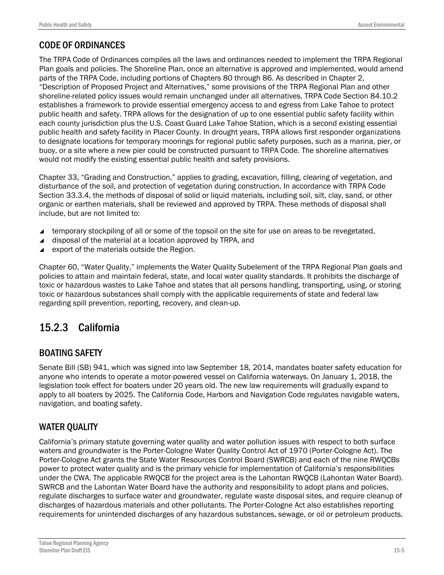## CODE OF ORDINANCES

The TRPA Code of Ordinances compiles all the laws and ordinances needed to implement the TRPA Regional Plan goals and policies. The Shoreline Plan, once an alternative is approved and implemented, would amend parts of the TRPA Code, including portions of Chapters 80 through 86. As described in Chapter 2, "Description of Proposed Project and Alternatives," some provisions of the TRPA Regional Plan and other shoreline-related policy issues would remain unchanged under all alternatives. TRPA Code Section 84.10.2 establishes a framework to provide essential emergency access to and egress from Lake Tahoe to protect public health and safety. TRPA allows for the designation of up to one essential public safety facility within each county jurisdiction plus the U.S. Coast Guard Lake Tahoe Station, which is a second existing essential public health and safety facility in Placer County. In drought years, TRPA allows first responder organizations to designate locations for temporary moorings for regional public safety purposes, such as a marina, pier, or buoy, or a site where a new pier could be constructed pursuant to TRPA Code. The shoreline alternatives would not modify the existing essential public health and safety provisions.

Chapter 33, "Grading and Construction," applies to grading, excavation, filling, clearing of vegetation, and disturbance of the soil, and protection of vegetation during construction. In accordance with TRPA Code Section 33.3.4, the methods of disposal of solid or liquid materials, including soil, silt, clay, sand, or other organic or earthen materials, shall be reviewed and approved by TRPA. These methods of disposal shall include, but are not limited to:

- ▲ temporary stockpiling of all or some of the topsoil on the site for use on areas to be revegetated,
- $\triangle$  disposal of the material at a location approved by TRPA, and
- $\blacktriangle$  export of the materials outside the Region.

Chapter 60, "Water Quality," implements the Water Quality Subelement of the TRPA Regional Plan goals and policies to attain and maintain federal, state, and local water quality standards. It prohibits the discharge of toxic or hazardous wastes to Lake Tahoe and states that all persons handling, transporting, using, or storing toxic or hazardous substances shall comply with the applicable requirements of state and federal law regarding spill prevention, reporting, recovery, and clean-up.

# 15.2.3 California

## BOATING SAFETY

Senate Bill (SB) 941, which was signed into law September 18, 2014, mandates boater safety education for anyone who intends to operate a motor-powered vessel on California waterways. On January 1, 2018, the legislation took effect for boaters under 20 years old. The new law requirements will gradually expand to apply to all boaters by 2025. The California Code, Harbors and Navigation Code regulates navigable waters, navigation, and boating safety.

## WATER QUALITY

California's primary statute governing water quality and water pollution issues with respect to both surface waters and groundwater is the Porter-Cologne Water Quality Control Act of 1970 (Porter-Cologne Act). The Porter-Cologne Act grants the State Water Resources Control Board (SWRCB) and each of the nine RWQCBs power to protect water quality and is the primary vehicle for implementation of California's responsibilities under the CWA. The applicable RWQCB for the project area is the Lahontan RWQCB (Lahontan Water Board). SWRCB and the Lahontan Water Board have the authority and responsibility to adopt plans and policies, regulate discharges to surface water and groundwater, regulate waste disposal sites, and require cleanup of discharges of hazardous materials and other pollutants. The Porter-Cologne Act also establishes reporting requirements for unintended discharges of any hazardous substances, sewage, or oil or petroleum products.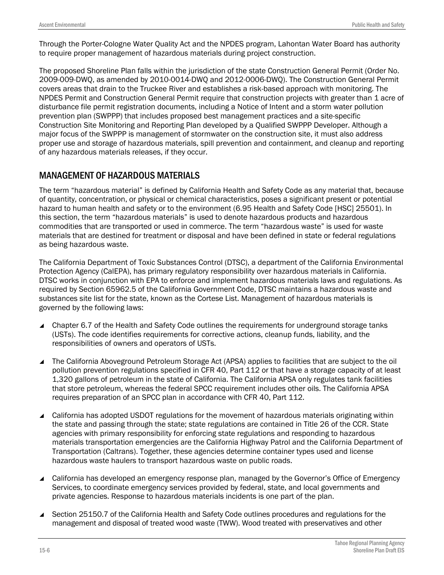Through the Porter-Cologne Water Quality Act and the NPDES program, Lahontan Water Board has authority to require proper management of hazardous materials during project construction.

The proposed Shoreline Plan falls within the jurisdiction of the state Construction General Permit (Order No. 2009-009-DWQ, as amended by 2010-0014-DWQ and 2012-0006-DWQ). The Construction General Permit covers areas that drain to the Truckee River and establishes a risk-based approach with monitoring. The NPDES Permit and Construction General Permit require that construction projects with greater than 1 acre of disturbance file permit registration documents, including a Notice of Intent and a storm water pollution prevention plan (SWPPP) that includes proposed best management practices and a site-specific Construction Site Monitoring and Reporting Plan developed by a Qualified SWPPP Developer. Although a major focus of the SWPPP is management of stormwater on the construction site, it must also address proper use and storage of hazardous materials, spill prevention and containment, and cleanup and reporting of any hazardous materials releases, if they occur.

### MANAGEMENT OF HAZARDOUS MATERIALS

The term "hazardous material" is defined by California Health and Safety Code as any material that, because of quantity, concentration, or physical or chemical characteristics, poses a significant present or potential hazard to human health and safety or to the environment (6.95 Health and Safety Code [HSC] 25501). In this section, the term "hazardous materials" is used to denote hazardous products and hazardous commodities that are transported or used in commerce. The term "hazardous waste" is used for waste materials that are destined for treatment or disposal and have been defined in state or federal regulations as being hazardous waste.

The California Department of Toxic Substances Control (DTSC), a department of the California Environmental Protection Agency (CalEPA), has primary regulatory responsibility over hazardous materials in California. DTSC works in conjunction with EPA to enforce and implement hazardous materials laws and regulations. As required by Section 65962.5 of the California Government Code, DTSC maintains a hazardous waste and substances site list for the state, known as the Cortese List. Management of hazardous materials is governed by the following laws:

- Chapter 6.7 of the Health and Safety Code outlines the requirements for underground storage tanks (USTs). The code identifies requirements for corrective actions, cleanup funds, liability, and the responsibilities of owners and operators of USTs.
- The California Aboveground Petroleum Storage Act (APSA) applies to facilities that are subject to the oil pollution prevention regulations specified in CFR 40, Part 112 or that have a storage capacity of at least 1,320 gallons of petroleum in the state of California. The California APSA only regulates tank facilities that store petroleum, whereas the federal SPCC requirement includes other oils. The California APSA requires preparation of an SPCC plan in accordance with CFR 40, Part 112.
- ▲ California has adopted USDOT regulations for the movement of hazardous materials originating within the state and passing through the state; state regulations are contained in Title 26 of the CCR. State agencies with primary responsibility for enforcing state regulations and responding to hazardous materials transportation emergencies are the California Highway Patrol and the California Department of Transportation (Caltrans). Together, these agencies determine container types used and license hazardous waste haulers to transport hazardous waste on public roads.
- ▲ California has developed an emergency response plan, managed by the Governor's Office of Emergency Services, to coordinate emergency services provided by federal, state, and local governments and private agencies. Response to hazardous materials incidents is one part of the plan.
- ▲ Section 25150.7 of the California Health and Safety Code outlines procedures and regulations for the management and disposal of treated wood waste (TWW). Wood treated with preservatives and other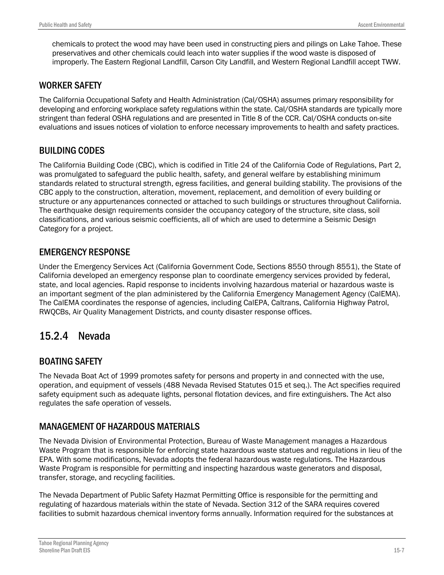chemicals to protect the wood may have been used in constructing piers and pilings on Lake Tahoe. These preservatives and other chemicals could leach into water supplies if the wood waste is disposed of improperly. The Eastern Regional Landfill, Carson City Landfill, and Western Regional Landfill accept TWW.

### WORKER SAFETY

The California Occupational Safety and Health Administration (Cal/OSHA) assumes primary responsibility for developing and enforcing workplace safety regulations within the state. Cal/OSHA standards are typically more stringent than federal OSHA regulations and are presented in Title 8 of the CCR. Cal/OSHA conducts on-site evaluations and issues notices of violation to enforce necessary improvements to health and safety practices.

## BUILDING CODES

The California Building Code (CBC), which is codified in Title 24 of the California Code of Regulations, Part 2, was promulgated to safeguard the public health, safety, and general welfare by establishing minimum standards related to structural strength, egress facilities, and general building stability. The provisions of the CBC apply to the construction, alteration, movement, replacement, and demolition of every building or structure or any appurtenances connected or attached to such buildings or structures throughout California. The earthquake design requirements consider the occupancy category of the structure, site class, soil classifications, and various seismic coefficients, all of which are used to determine a Seismic Design Category for a project.

## EMERGENCY RESPONSE

Under the Emergency Services Act (California Government Code, Sections 8550 through 8551), the State of California developed an emergency response plan to coordinate emergency services provided by federal, state, and local agencies. Rapid response to incidents involving hazardous material or hazardous waste is an important segment of the plan administered by the California Emergency Management Agency (CalEMA). The CalEMA coordinates the response of agencies, including CalEPA, Caltrans, California Highway Patrol, RWQCBs, Air Quality Management Districts, and county disaster response offices.

# 15.2.4 Nevada

## BOATING SAFETY

The Nevada Boat Act of 1999 promotes safety for persons and property in and connected with the use, operation, and equipment of vessels (488 Nevada Revised Statutes 015 et seq.). The Act specifies required safety equipment such as adequate lights, personal flotation devices, and fire extinguishers. The Act also regulates the safe operation of vessels.

## MANAGEMENT OF HAZARDOUS MATERIALS

The Nevada Division of Environmental Protection, Bureau of Waste Management manages a Hazardous Waste Program that is responsible for enforcing state hazardous waste statues and regulations in lieu of the EPA. With some modifications, Nevada adopts the federal hazardous waste regulations. The Hazardous Waste Program is responsible for permitting and inspecting hazardous waste generators and disposal, transfer, storage, and recycling facilities.

The Nevada Department of Public Safety Hazmat Permitting Office is responsible for the permitting and regulating of hazardous materials within the state of Nevada. Section 312 of the SARA requires covered facilities to submit hazardous chemical inventory forms annually. Information required for the substances at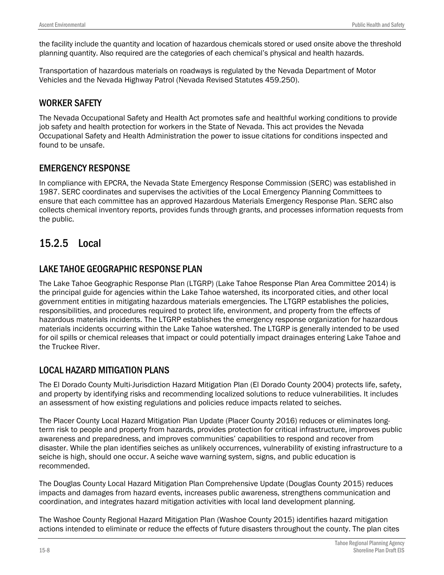the facility include the quantity and location of hazardous chemicals stored or used onsite above the threshold planning quantity. Also required are the categories of each chemical's physical and health hazards.

Transportation of hazardous materials on roadways is regulated by the Nevada Department of Motor Vehicles and the Nevada Highway Patrol (Nevada Revised Statutes 459.250).

#### WORKER SAFETY

The Nevada Occupational Safety and Health Act promotes safe and healthful working conditions to provide job safety and health protection for workers in the State of Nevada. This act provides the Nevada Occupational Safety and Health Administration the power to issue citations for conditions inspected and found to be unsafe.

#### EMERGENCY RESPONSE

In compliance with EPCRA, the Nevada State Emergency Response Commission (SERC) was established in 1987. SERC coordinates and supervises the activities of the Local Emergency Planning Committees to ensure that each committee has an approved Hazardous Materials Emergency Response Plan. SERC also collects chemical inventory reports, provides funds through grants, and processes information requests from the public.

# 15.2.5 Local

### LAKE TAHOE GEOGRAPHIC RESPONSE PLAN

The Lake Tahoe Geographic Response Plan (LTGRP) (Lake Tahoe Response Plan Area Committee 2014) is the principal guide for agencies within the Lake Tahoe watershed, its incorporated cities, and other local government entities in mitigating hazardous materials emergencies. The LTGRP establishes the policies, responsibilities, and procedures required to protect life, environment, and property from the effects of hazardous materials incidents. The LTGRP establishes the emergency response organization for hazardous materials incidents occurring within the Lake Tahoe watershed. The LTGRP is generally intended to be used for oil spills or chemical releases that impact or could potentially impact drainages entering Lake Tahoe and the Truckee River.

## LOCAL HAZARD MITIGATION PLANS

The El Dorado County Multi-Jurisdiction Hazard Mitigation Plan (El Dorado County 2004) protects life, safety, and property by identifying risks and recommending localized solutions to reduce vulnerabilities. It includes an assessment of how existing regulations and policies reduce impacts related to seiches.

The Placer County Local Hazard Mitigation Plan Update (Placer County 2016) reduces or eliminates longterm risk to people and property from hazards, provides protection for critical infrastructure, improves public awareness and preparedness, and improves communities' capabilities to respond and recover from disaster. While the plan identifies seiches as unlikely occurrences, vulnerability of existing infrastructure to a seiche is high, should one occur. A seiche wave warning system, signs, and public education is recommended.

The Douglas County Local Hazard Mitigation Plan Comprehensive Update (Douglas County 2015) reduces impacts and damages from hazard events, increases public awareness, strengthens communication and coordination, and integrates hazard mitigation activities with local land development planning.

The Washoe County Regional Hazard Mitigation Plan (Washoe County 2015) identifies hazard mitigation actions intended to eliminate or reduce the effects of future disasters throughout the county. The plan cites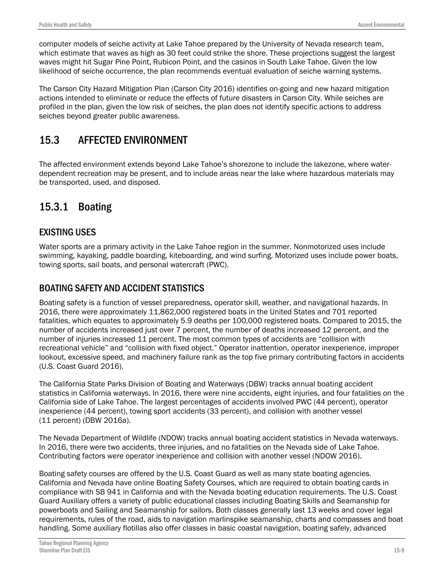computer models of seiche activity at Lake Tahoe prepared by the University of Nevada research team, which estimate that waves as high as 30 feet could strike the shore. These projections suggest the largest waves might hit Sugar Pine Point, Rubicon Point, and the casinos in South Lake Tahoe. Given the low likelihood of seiche occurrence, the plan recommends eventual evaluation of seiche warning systems.

The Carson City Hazard Mitigation Plan (Carson City 2016) identifies on-going and new hazard mitigation actions intended to eliminate or reduce the effects of future disasters in Carson City. While seiches are profiled in the plan, given the low risk of seiches, the plan does not identify specific actions to address seiches beyond greater public awareness.

# 15.3 AFFECTED ENVIRONMENT

The affected environment extends beyond Lake Tahoe's shorezone to include the lakezone, where waterdependent recreation may be present, and to include areas near the lake where hazardous materials may be transported, used, and disposed.

# 15.3.1 Boating

## EXISTING USES

Water sports are a primary activity in the Lake Tahoe region in the summer. Nonmotorized uses include swimming, kayaking, paddle boarding, kiteboarding, and wind surfing. Motorized uses include power boats, towing sports, sail boats, and personal watercraft (PWC).

## BOATING SAFETY AND ACCIDENT STATISTICS

Boating safety is a function of vessel preparedness, operator skill, weather, and navigational hazards. In 2016, there were approximately 11,862,000 registered boats in the United States and 701 reported fatalities, which equates to approximately 5.9 deaths per 100,000 registered boats. Compared to 2015, the number of accidents increased just over 7 percent, the number of deaths increased 12 percent, and the number of injuries increased 11 percent. The most common types of accidents are "collision with recreational vehicle" and "collision with fixed object." Operator inattention, operator inexperience, improper lookout, excessive speed, and machinery failure rank as the top five primary contributing factors in accidents (U.S. Coast Guard 2016).

The California State Parks Division of Boating and Waterways (DBW) tracks annual boating accident statistics in California waterways. In 2016, there were nine accidents, eight injuries, and four fatalities on the California side of Lake Tahoe. The largest percentages of accidents involved PWC (44 percent), operator inexperience (44 percent), towing sport accidents (33 percent), and collision with another vessel (11 percent) (DBW 2016a).

The Nevada Department of Wildlife (NDOW) tracks annual boating accident statistics in Nevada waterways. In 2016, there were two accidents, three injuries, and no fatalities on the Nevada side of Lake Tahoe. Contributing factors were operator inexperience and collision with another vessel (NDOW 2016).

Boating safety courses are offered by the U.S. Coast Guard as well as many state boating agencies. California and Nevada have online Boating Safety Courses, which are required to obtain boating cards in compliance with SB 941 in California and with the Nevada boating education requirements. The U.S. Coast Guard Auxiliary offers a variety of public educational classes including Boating Skills and Seamanship for powerboats and Sailing and Seamanship for sailors. Both classes generally last 13 weeks and cover legal requirements, rules of the road, aids to navigation marlinspike seamanship, charts and compasses and boat handling. Some auxiliary flotillas also offer classes in basic coastal navigation, boating safely, advanced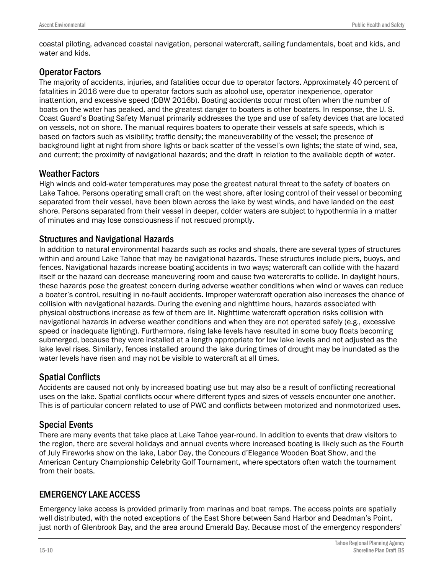coastal piloting, advanced coastal navigation, personal watercraft, sailing fundamentals, boat and kids, and water and kids.

### Operator Factors

The majority of accidents, injuries, and fatalities occur due to operator factors. Approximately 40 percent of fatalities in 2016 were due to operator factors such as alcohol use, operator inexperience, operator inattention, and excessive speed (DBW 2016b). Boating accidents occur most often when the number of boats on the water has peaked, and the greatest danger to boaters is other boaters. In response, the U. S. Coast Guard's Boating Safety Manual primarily addresses the type and use of safety devices that are located on vessels, not on shore. The manual requires boaters to operate their vessels at safe speeds, which is based on factors such as visibility; traffic density; the maneuverability of the vessel; the presence of background light at night from shore lights or back scatter of the vessel's own lights; the state of wind, sea, and current; the proximity of navigational hazards; and the draft in relation to the available depth of water.

### Weather Factors

High winds and cold-water temperatures may pose the greatest natural threat to the safety of boaters on Lake Tahoe. Persons operating small craft on the west shore, after losing control of their vessel or becoming separated from their vessel, have been blown across the lake by west winds, and have landed on the east shore. Persons separated from their vessel in deeper, colder waters are subject to hypothermia in a matter of minutes and may lose consciousness if not rescued promptly.

## Structures and Navigational Hazards

In addition to natural environmental hazards such as rocks and shoals, there are several types of structures within and around Lake Tahoe that may be navigational hazards. These structures include piers, buoys, and fences. Navigational hazards increase boating accidents in two ways; watercraft can collide with the hazard itself or the hazard can decrease maneuvering room and cause two watercrafts to collide. In daylight hours, these hazards pose the greatest concern during adverse weather conditions when wind or waves can reduce a boater's control, resulting in no-fault accidents. Improper watercraft operation also increases the chance of collision with navigational hazards. During the evening and nighttime hours, hazards associated with physical obstructions increase as few of them are lit. Nighttime watercraft operation risks collision with navigational hazards in adverse weather conditions and when they are not operated safely (e.g., excessive speed or inadequate lighting). Furthermore, rising lake levels have resulted in some buoy floats becoming submerged, because they were installed at a length appropriate for low lake levels and not adjusted as the lake level rises. Similarly, fences installed around the lake during times of drought may be inundated as the water levels have risen and may not be visible to watercraft at all times.

## Spatial Conflicts

Accidents are caused not only by increased boating use but may also be a result of conflicting recreational uses on the lake. Spatial conflicts occur where different types and sizes of vessels encounter one another. This is of particular concern related to use of PWC and conflicts between motorized and nonmotorized uses.

## Special Events

There are many events that take place at Lake Tahoe year-round. In addition to events that draw visitors to the region, there are several holidays and annual events where increased boating is likely such as the Fourth of July Fireworks show on the lake, Labor Day, the Concours d'Elegance Wooden Boat Show, and the American Century Championship Celebrity Golf Tournament, where spectators often watch the tournament from their boats.

## EMERGENCY LAKE ACCESS

Emergency lake access is provided primarily from marinas and boat ramps. The access points are spatially well distributed, with the noted exceptions of the East Shore between Sand Harbor and Deadman's Point, just north of Glenbrook Bay, and the area around Emerald Bay. Because most of the emergency responders'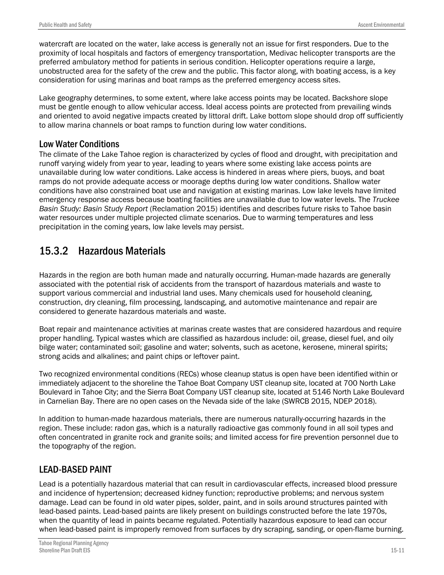watercraft are located on the water, lake access is generally not an issue for first responders. Due to the proximity of local hospitals and factors of emergency transportation, Medivac helicopter transports are the preferred ambulatory method for patients in serious condition. Helicopter operations require a large, unobstructed area for the safety of the crew and the public. This factor along, with boating access, is a key consideration for using marinas and boat ramps as the preferred emergency access sites.

Lake geography determines, to some extent, where lake access points may be located. Backshore slope must be gentle enough to allow vehicular access. Ideal access points are protected from prevailing winds and oriented to avoid negative impacts created by littoral drift. Lake bottom slope should drop off sufficiently to allow marina channels or boat ramps to function during low water conditions.

#### Low Water Conditions

The climate of the Lake Tahoe region is characterized by cycles of flood and drought, with precipitation and runoff varying widely from year to year, leading to years where some existing lake access points are unavailable during low water conditions. Lake access is hindered in areas where piers, buoys, and boat ramps do not provide adequate access or moorage depths during low water conditions. Shallow water conditions have also constrained boat use and navigation at existing marinas. Low lake levels have limited emergency response access because boating facilities are unavailable due to low water levels. The *Truckee Basin Study: Basin Study Report* (Reclamation 2015) identifies and describes future risks to Tahoe basin water resources under multiple projected climate scenarios. Due to warming temperatures and less precipitation in the coming years, low lake levels may persist.

# 15.3.2 Hazardous Materials

Hazards in the region are both human made and naturally occurring. Human-made hazards are generally associated with the potential risk of accidents from the transport of hazardous materials and waste to support various commercial and industrial land uses. Many chemicals used for household cleaning, construction, dry cleaning, film processing, landscaping, and automotive maintenance and repair are considered to generate hazardous materials and waste.

Boat repair and maintenance activities at marinas create wastes that are considered hazardous and require proper handling. Typical wastes which are classified as hazardous include: oil, grease, diesel fuel, and oily bilge water; contaminated soil; gasoline and water; solvents, such as acetone, kerosene, mineral spirits; strong acids and alkalines; and paint chips or leftover paint.

Two recognized environmental conditions (RECs) whose cleanup status is open have been identified within or immediately adjacent to the shoreline the Tahoe Boat Company UST cleanup site, located at 700 North Lake Boulevard in Tahoe City; and the Sierra Boat Company UST cleanup site, located at 5146 North Lake Boulevard in Carnelian Bay. There are no open cases on the Nevada side of the lake (SWRCB 2015, NDEP 2018).

In addition to human-made hazardous materials, there are numerous naturally-occurring hazards in the region. These include: radon gas, which is a naturally radioactive gas commonly found in all soil types and often concentrated in granite rock and granite soils; and limited access for fire prevention personnel due to the topography of the region.

### LEAD-BASED PAINT

Lead is a potentially hazardous material that can result in cardiovascular effects, increased blood pressure and incidence of hypertension; decreased kidney function; reproductive problems; and nervous system damage. Lead can be found in old water pipes, solder, paint, and in soils around structures painted with lead-based paints. Lead-based paints are likely present on buildings constructed before the late 1970s, when the quantity of lead in paints became regulated. Potentially hazardous exposure to lead can occur when lead-based paint is improperly removed from surfaces by dry scraping, sanding, or open-flame burning.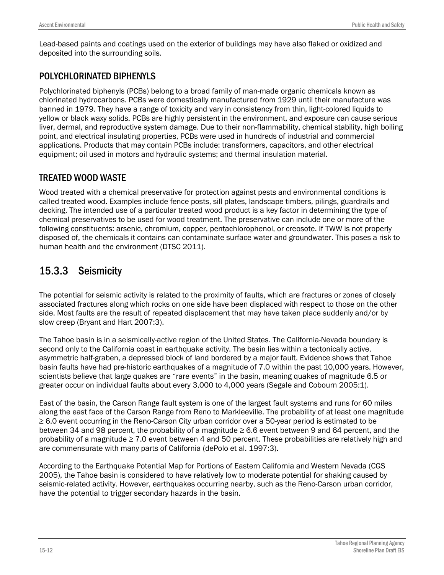Lead-based paints and coatings used on the exterior of buildings may have also flaked or oxidized and deposited into the surrounding soils.

## POLYCHLORINATED BIPHENYLS

Polychlorinated biphenyls (PCBs) belong to a broad family of man-made organic chemicals known as chlorinated hydrocarbons. PCBs were domestically manufactured from 1929 until their manufacture was banned in 1979. They have a range of toxicity and vary in consistency from thin, light-colored liquids to yellow or black waxy solids. PCBs are highly persistent in the environment, and exposure can cause serious liver, dermal, and reproductive system damage. Due to their non-flammability, chemical stability, high boiling point, and electrical insulating properties, PCBs were used in hundreds of industrial and commercial applications. Products that may contain PCBs include: transformers, capacitors, and other electrical equipment; oil used in motors and hydraulic systems; and thermal insulation material.

## TREATED WOOD WASTE

Wood treated with a chemical preservative for protection against pests and environmental conditions is called treated wood. Examples include fence posts, sill plates, landscape timbers, pilings, guardrails and decking. The intended use of a particular treated wood product is a key factor in determining the type of chemical preservatives to be used for wood treatment. The preservative can include one or more of the following constituents: arsenic, chromium, copper, pentachlorophenol, or creosote. If TWW is not properly disposed of, the chemicals it contains can contaminate surface water and groundwater. This poses a risk to human health and the environment (DTSC 2011).

# 15.3.3 Seismicity

The potential for seismic activity is related to the proximity of faults, which are fractures or zones of closely associated fractures along which rocks on one side have been displaced with respect to those on the other side. Most faults are the result of repeated displacement that may have taken place suddenly and/or by slow creep (Bryant and Hart 2007:3).

The Tahoe basin is in a seismically-active region of the United States. The California-Nevada boundary is second only to the California coast in earthquake activity. The basin lies within a tectonically active, asymmetric half-graben, a depressed block of land bordered by a major fault. Evidence shows that Tahoe basin faults have had pre-historic earthquakes of a magnitude of 7.0 within the past 10,000 years. However, scientists believe that large quakes are "rare events" in the basin, meaning quakes of magnitude 6.5 or greater occur on individual faults about every 3,000 to 4,000 years (Segale and Cobourn 2005:1).

East of the basin, the Carson Range fault system is one of the largest fault systems and runs for 60 miles along the east face of the Carson Range from Reno to Markleeville. The probability of at least one magnitude ≥ 6.0 event occurring in the Reno-Carson City urban corridor over a 50-year period is estimated to be between 34 and 98 percent, the probability of a magnitude  $\geq 6.6$  event between 9 and 64 percent, and the probability of a magnitude  $\geq 7.0$  event between 4 and 50 percent. These probabilities are relatively high and are commensurate with many parts of California (dePolo et al. 1997:3).

According to the Earthquake Potential Map for Portions of Eastern California and Western Nevada (CGS 2005), the Tahoe basin is considered to have relatively low to moderate potential for shaking caused by seismic-related activity. However, earthquakes occurring nearby, such as the Reno-Carson urban corridor, have the potential to trigger secondary hazards in the basin.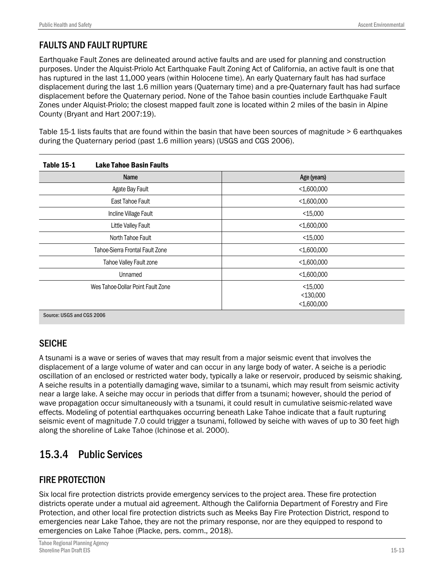## FAULTS AND FAULT RUPTURE

Earthquake Fault Zones are delineated around active faults and are used for planning and construction purposes. Under the Alquist-Priolo Act Earthquake Fault Zoning Act of California, an active fault is one that has ruptured in the last 11,000 years (within Holocene time). An early Quaternary fault has had surface displacement during the last 1.6 million years (Quaternary time) and a pre-Quaternary fault has had surface displacement before the Quaternary period. None of the Tahoe basin counties include Earthquake Fault Zones under Alquist-Priolo; the closest mapped fault zone is located within 2 miles of the basin in Alpine County (Bryant and Hart 2007:19).

Table 15-1 lists faults that are found within the basin that have been sources of magnitude > 6 earthquakes during the Quaternary period (past 1.6 million years) (USGS and CGS 2006).

| <b>Table 15-1</b>                 | <b>Lake Tahoe Basin Faults</b> |                              |
|-----------------------------------|--------------------------------|------------------------------|
|                                   | <b>Name</b>                    | Age (years)                  |
| Agate Bay Fault                   |                                | $<$ 1,600,000                |
| East Tahoe Fault                  |                                | $<$ 1,600,000                |
| Incline Village Fault             |                                | $<$ 15,000                   |
| Little Valley Fault               |                                | $<$ 1,600,000                |
| North Tahoe Fault                 |                                | $<$ 15,000                   |
| Tahoe-Sierra Frontal Fault Zone   |                                | $<$ 1,600,000                |
| Tahoe Valley Fault zone           |                                | $<$ 1,600,000                |
| Unnamed                           |                                | $<$ 1,600,000                |
| Wes Tahoe-Dollar Point Fault Zone |                                | $<$ 15,000                   |
|                                   |                                | $<$ 130,000<br>$<$ 1,600,000 |
| Source: USGS and CGS 2006         |                                |                              |

### **SEICHE**

A tsunami is a wave or series of waves that may result from a major seismic event that involves the displacement of a large volume of water and can occur in any large body of water. A seiche is a periodic oscillation of an enclosed or restricted water body, typically a lake or reservoir, produced by seismic shaking. A seiche results in a potentially damaging wave, similar to a tsunami, which may result from seismic activity near a large lake. A seiche may occur in periods that differ from a tsunami; however, should the period of wave propagation occur simultaneously with a tsunami, it could result in cumulative seismic-related wave effects. Modeling of potential earthquakes occurring beneath Lake Tahoe indicate that a fault rupturing seismic event of magnitude 7.0 could trigger a tsunami, followed by seiche with waves of up to 30 feet high along the shoreline of Lake Tahoe (Ichinose et al. 2000).

# 15.3.4 Public Services

## FIRE PROTECTION

Six local fire protection districts provide emergency services to the project area. These fire protection districts operate under a mutual aid agreement. Although the California Department of Forestry and Fire Protection, and other local fire protection districts such as Meeks Bay Fire Protection District, respond to emergencies near Lake Tahoe, they are not the primary response, nor are they equipped to respond to emergencies on Lake Tahoe (Placke, pers. comm., 2018).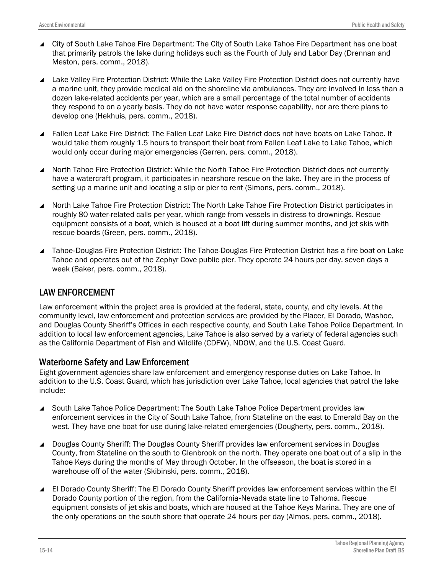- City of South Lake Tahoe Fire Department: The City of South Lake Tahoe Fire Department has one boat that primarily patrols the lake during holidays such as the Fourth of July and Labor Day (Drennan and Meston, pers. comm., 2018).
- ▲ Lake Valley Fire Protection District: While the Lake Valley Fire Protection District does not currently have a marine unit, they provide medical aid on the shoreline via ambulances. They are involved in less than a dozen lake-related accidents per year, which are a small percentage of the total number of accidents they respond to on a yearly basis. They do not have water response capability, nor are there plans to develop one (Hekhuis, pers. comm., 2018).
- Fallen Leaf Lake Fire District: The Fallen Leaf Lake Fire District does not have boats on Lake Tahoe. It would take them roughly 1.5 hours to transport their boat from Fallen Leaf Lake to Lake Tahoe, which would only occur during major emergencies (Gerren, pers. comm., 2018).
- North Tahoe Fire Protection District: While the North Tahoe Fire Protection District does not currently have a watercraft program, it participates in nearshore rescue on the lake. They are in the process of setting up a marine unit and locating a slip or pier to rent (Simons, pers. comm., 2018).
- North Lake Tahoe Fire Protection District: The North Lake Tahoe Fire Protection District participates in roughly 80 water-related calls per year, which range from vessels in distress to drownings. Rescue equipment consists of a boat, which is housed at a boat lift during summer months, and jet skis with rescue boards (Green, pers. comm., 2018).
- Tahoe-Douglas Fire Protection District: The Tahoe-Douglas Fire Protection District has a fire boat on Lake Tahoe and operates out of the Zephyr Cove public pier. They operate 24 hours per day, seven days a week (Baker, pers. comm., 2018).

### LAW ENFORCEMENT

Law enforcement within the project area is provided at the federal, state, county, and city levels. At the community level, law enforcement and protection services are provided by the Placer, El Dorado, Washoe, and Douglas County Sheriff's Offices in each respective county, and South Lake Tahoe Police Department. In addition to local law enforcement agencies, Lake Tahoe is also served by a variety of federal agencies such as the California Department of Fish and Wildlife (CDFW), NDOW, and the U.S. Coast Guard.

### Waterborne Safety and Law Enforcement

Eight government agencies share law enforcement and emergency response duties on Lake Tahoe. In addition to the U.S. Coast Guard, which has jurisdiction over Lake Tahoe, local agencies that patrol the lake include:

- South Lake Tahoe Police Department: The South Lake Tahoe Police Department provides law enforcement services in the City of South Lake Tahoe, from Stateline on the east to Emerald Bay on the west. They have one boat for use during lake-related emergencies (Dougherty, pers. comm., 2018).
- Douglas County Sheriff: The Douglas County Sheriff provides law enforcement services in Douglas County, from Stateline on the south to Glenbrook on the north. They operate one boat out of a slip in the Tahoe Keys during the months of May through October. In the offseason, the boat is stored in a warehouse off of the water (Skibinski, pers. comm., 2018).
- El Dorado County Sheriff: The El Dorado County Sheriff provides law enforcement services within the El Dorado County portion of the region, from the California‐Nevada state line to Tahoma. Rescue equipment consists of jet skis and boats, which are housed at the Tahoe Keys Marina. They are one of the only operations on the south shore that operate 24 hours per day (Almos, pers. comm., 2018).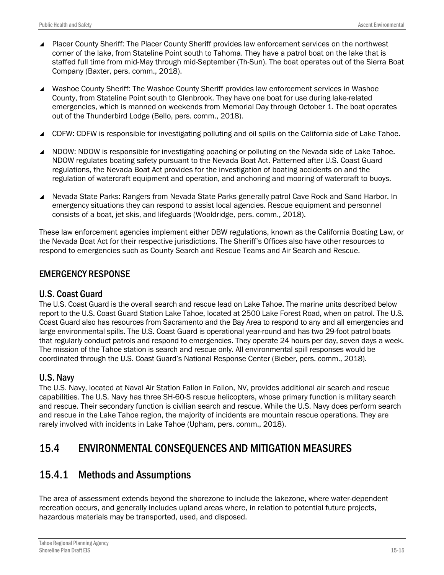- Placer County Sheriff: The Placer County Sheriff provides law enforcement services on the northwest corner of the lake, from Stateline Point south to Tahoma. They have a patrol boat on the lake that is staffed full time from mid-May through mid-September (Th-Sun). The boat operates out of the Sierra Boat Company (Baxter, pers. comm., 2018).
- Washoe County Sheriff: The Washoe County Sheriff provides law enforcement services in Washoe County, from Stateline Point south to Glenbrook. They have one boat for use during lake-related emergencies, which is manned on weekends from Memorial Day through October 1. The boat operates out of the Thunderbird Lodge (Bello, pers. comm., 2018).
- CDFW: CDFW is responsible for investigating polluting and oil spills on the California side of Lake Tahoe.
- ▲ NDOW: NDOW is responsible for investigating poaching or polluting on the Nevada side of Lake Tahoe. NDOW regulates boating safety pursuant to the Nevada Boat Act. Patterned after U.S. Coast Guard regulations, the Nevada Boat Act provides for the investigation of boating accidents on and the regulation of watercraft equipment and operation, and anchoring and mooring of watercraft to buoys.
- Nevada State Parks: Rangers from Nevada State Parks generally patrol Cave Rock and Sand Harbor. In emergency situations they can respond to assist local agencies. Rescue equipment and personnel consists of a boat, jet skis, and lifeguards (Wooldridge, pers. comm., 2018).

These law enforcement agencies implement either DBW regulations, known as the California Boating Law, or the Nevada Boat Act for their respective jurisdictions. The Sheriff's Offices also have other resources to respond to emergencies such as County Search and Rescue Teams and Air Search and Rescue.

#### EMERGENCY RESPONSE

#### U.S. Coast Guard

The U.S. Coast Guard is the overall search and rescue lead on Lake Tahoe. The marine units described below report to the U.S. Coast Guard Station Lake Tahoe, located at 2500 Lake Forest Road, when on patrol. The U.S. Coast Guard also has resources from Sacramento and the Bay Area to respond to any and all emergencies and large environmental spills. The U.S. Coast Guard is operational year-round and has two 29-foot patrol boats that regularly conduct patrols and respond to emergencies. They operate 24 hours per day, seven days a week. The mission of the Tahoe station is search and rescue only. All environmental spill responses would be coordinated through the U.S. Coast Guard's National Response Center (Bieber, pers. comm., 2018).

#### U.S. Navy

The U.S. Navy, located at Naval Air Station Fallon in Fallon, NV, provides additional air search and rescue capabilities. The U.S. Navy has three SH-60-S rescue helicopters, whose primary function is military search and rescue. Their secondary function is civilian search and rescue. While the U.S. Navy does perform search and rescue in the Lake Tahoe region, the majority of incidents are mountain rescue operations. They are rarely involved with incidents in Lake Tahoe (Upham, pers. comm., 2018).

# 15.4 ENVIRONMENTAL CONSEQUENCES AND MITIGATION MEASURES

## 15.4.1 Methods and Assumptions

The area of assessment extends beyond the shorezone to include the lakezone, where water-dependent recreation occurs, and generally includes upland areas where, in relation to potential future projects, hazardous materials may be transported, used, and disposed.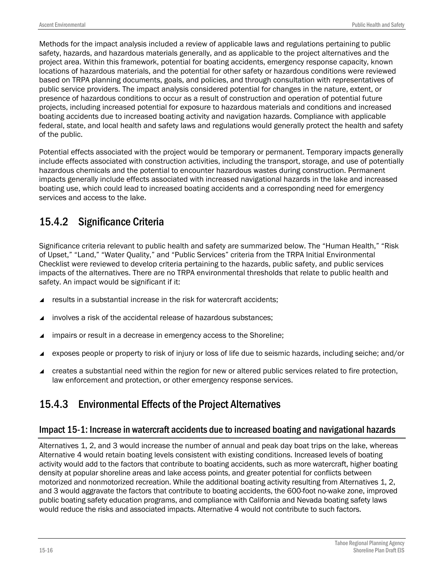Methods for the impact analysis included a review of applicable laws and regulations pertaining to public safety, hazards, and hazardous materials generally, and as applicable to the project alternatives and the project area. Within this framework, potential for boating accidents, emergency response capacity, known locations of hazardous materials, and the potential for other safety or hazardous conditions were reviewed based on TRPA planning documents, goals, and policies, and through consultation with representatives of public service providers. The impact analysis considered potential for changes in the nature, extent, or presence of hazardous conditions to occur as a result of construction and operation of potential future projects, including increased potential for exposure to hazardous materials and conditions and increased boating accidents due to increased boating activity and navigation hazards. Compliance with applicable federal, state, and local health and safety laws and regulations would generally protect the health and safety of the public.

Potential effects associated with the project would be temporary or permanent. Temporary impacts generally include effects associated with construction activities, including the transport, storage, and use of potentially hazardous chemicals and the potential to encounter hazardous wastes during construction. Permanent impacts generally include effects associated with increased navigational hazards in the lake and increased boating use, which could lead to increased boating accidents and a corresponding need for emergency services and access to the lake.

# 15.4.2 Significance Criteria

Significance criteria relevant to public health and safety are summarized below. The "Human Health," "Risk of Upset," "Land," "Water Quality," and "Public Services" criteria from the TRPA Initial Environmental Checklist were reviewed to develop criteria pertaining to the hazards, public safety, and public services impacts of the alternatives. There are no TRPA environmental thresholds that relate to public health and safety. An impact would be significant if it:

- results in a substantial increase in the risk for watercraft accidents;
- involves a risk of the accidental release of hazardous substances;
- impairs or result in a decrease in emergency access to the Shoreline;
- exposes people or property to risk of injury or loss of life due to seismic hazards, including seiche; and/or
- creates a substantial need within the region for new or altered public services related to fire protection, law enforcement and protection, or other emergency response services.

# 15.4.3 Environmental Effects of the Project Alternatives

## Impact 15-1: Increase in watercraft accidents due to increased boating and navigational hazards

Alternatives 1, 2, and 3 would increase the number of annual and peak day boat trips on the lake, whereas Alternative 4 would retain boating levels consistent with existing conditions. Increased levels of boating activity would add to the factors that contribute to boating accidents, such as more watercraft, higher boating density at popular shoreline areas and lake access points, and greater potential for conflicts between motorized and nonmotorized recreation. While the additional boating activity resulting from Alternatives 1, 2, and 3 would aggravate the factors that contribute to boating accidents, the 600-foot no-wake zone, improved public boating safety education programs, and compliance with California and Nevada boating safety laws would reduce the risks and associated impacts. Alternative 4 would not contribute to such factors.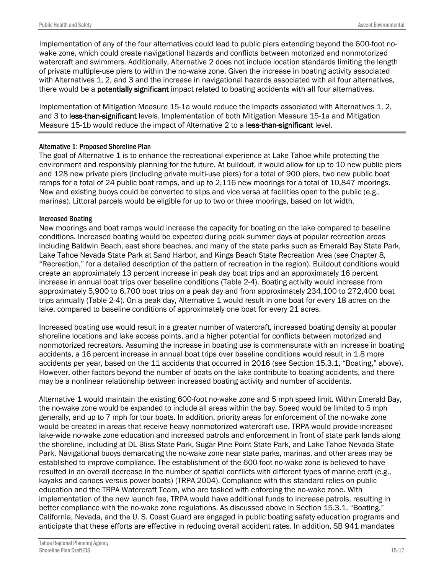Implementation of any of the four alternatives could lead to public piers extending beyond the 600-foot nowake zone, which could create navigational hazards and conflicts between motorized and nonmotorized watercraft and swimmers. Additionally, Alternative 2 does not include location standards limiting the length of private multiple-use piers to within the no-wake zone. Given the increase in boating activity associated with Alternatives 1, 2, and 3 and the increase in navigational hazards associated with all four alternatives, there would be a **potentially significant** impact related to boating accidents with all four alternatives.

Implementation of Mitigation Measure 15-1a would reduce the impacts associated with Alternatives 1, 2, and 3 to less-than-significant levels. Implementation of both Mitigation Measure 15-1a and Mitigation Measure 15-1b would reduce the impact of Alternative 2 to a less-than-significant level.

#### Alternative 1: Proposed Shoreline Plan

The goal of Alternative 1 is to enhance the recreational experience at Lake Tahoe while protecting the environment and responsibly planning for the future. At buildout, it would allow for up to 10 new public piers and 128 new private piers (including private multi-use piers) for a total of 900 piers, two new public boat ramps for a total of 24 public boat ramps, and up to 2,116 new moorings for a total of 10,847 moorings. New and existing buoys could be converted to slips and vice versa at facilities open to the public (e.g., marinas). Littoral parcels would be eligible for up to two or three moorings, based on lot width.

#### Increased Boating

New moorings and boat ramps would increase the capacity for boating on the lake compared to baseline conditions. Increased boating would be expected during peak summer days at popular recreation areas including Baldwin Beach, east shore beaches, and many of the state parks such as Emerald Bay State Park, Lake Tahoe Nevada State Park at Sand Harbor, and Kings Beach State Recreation Area (see Chapter 8, "Recreation," for a detailed description of the pattern of recreation in the region). Buildout conditions would create an approximately 13 percent increase in peak day boat trips and an approximately 16 percent increase in annual boat trips over baseline conditions (Table 2-4). Boating activity would increase from approximately 5,900 to 6,700 boat trips on a peak day and from approximately 234,100 to 272,400 boat trips annually (Table 2-4). On a peak day, Alternative 1 would result in one boat for every 18 acres on the lake, compared to baseline conditions of approximately one boat for every 21 acres.

Increased boating use would result in a greater number of watercraft, increased boating density at popular shoreline locations and lake access points, and a higher potential for conflicts between motorized and nonmotorized recreators. Assuming the increase in boating use is commensurate with an increase in boating accidents, a 16 percent increase in annual boat trips over baseline conditions would result in 1.8 more accidents per year, based on the 11 accidents that occurred in 2016 (see Section 15.3.1, "Boating," above). However, other factors beyond the number of boats on the lake contribute to boating accidents, and there may be a nonlinear relationship between increased boating activity and number of accidents.

Alternative 1 would maintain the existing 600-foot no-wake zone and 5 mph speed limit. Within Emerald Bay, the no-wake zone would be expanded to include all areas within the bay. Speed would be limited to 5 mph generally, and up to 7 mph for tour boats. In addition, priority areas for enforcement of the no-wake zone would be created in areas that receive heavy nonmotorized watercraft use. TRPA would provide increased lake-wide no-wake zone education and increased patrols and enforcement in front of state park lands along the shoreline, including at DL Bliss State Park, Sugar Pine Point State Park, and Lake Tahoe Nevada State Park. Navigational buoys demarcating the no-wake zone near state parks, marinas, and other areas may be established to improve compliance. The establishment of the 600-foot no-wake zone is believed to have resulted in an overall decrease in the number of spatial conflicts with different types of marine craft (e.g., kayaks and canoes versus power boats) (TRPA 2004). Compliance with this standard relies on public education and the TRPA Watercraft Team, who are tasked with enforcing the no-wake zone. With implementation of the new launch fee, TRPA would have additional funds to increase patrols, resulting in better compliance with the no-wake zone regulations. As discussed above in Section 15.3.1, "Boating," California, Nevada, and the U. S. Coast Guard are engaged in public boating safety education programs and anticipate that these efforts are effective in reducing overall accident rates. In addition, SB 941 mandates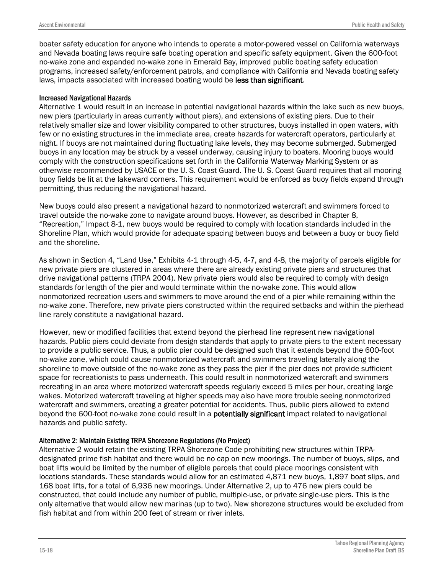boater safety education for anyone who intends to operate a motor-powered vessel on California waterways and Nevada boating laws require safe boating operation and specific safety equipment. Given the 600-foot no-wake zone and expanded no-wake zone in Emerald Bay, improved public boating safety education programs, increased safety/enforcement patrols, and compliance with California and Nevada boating safety laws, impacts associated with increased boating would be less than significant.

#### Increased Navigational Hazards

Alternative 1 would result in an increase in potential navigational hazards within the lake such as new buoys, new piers (particularly in areas currently without piers), and extensions of existing piers. Due to their relatively smaller size and lower visibility compared to other structures, buoys installed in open waters, with few or no existing structures in the immediate area, create hazards for watercraft operators, particularly at night. If buoys are not maintained during fluctuating lake levels, they may become submerged. Submerged buoys in any location may be struck by a vessel underway, causing injury to boaters. Mooring buoys would comply with the construction specifications set forth in the California Waterway Marking System or as otherwise recommended by USACE or the U. S. Coast Guard. The U. S. Coast Guard requires that all mooring buoy fields be lit at the lakeward corners. This requirement would be enforced as buoy fields expand through permitting, thus reducing the navigational hazard.

New buoys could also present a navigational hazard to nonmotorized watercraft and swimmers forced to travel outside the no-wake zone to navigate around buoys. However, as described in Chapter 8, "Recreation," Impact 8-1, new buoys would be required to comply with location standards included in the Shoreline Plan, which would provide for adequate spacing between buoys and between a buoy or buoy field and the shoreline.

As shown in Section 4, "Land Use," Exhibits 4-1 through 4-5, 4-7, and 4-8, the majority of parcels eligible for new private piers are clustered in areas where there are already existing private piers and structures that drive navigational patterns (TRPA 2004). New private piers would also be required to comply with design standards for length of the pier and would terminate within the no-wake zone. This would allow nonmotorized recreation users and swimmers to move around the end of a pier while remaining within the no-wake zone. Therefore, new private piers constructed within the required setbacks and within the pierhead line rarely constitute a navigational hazard.

However, new or modified facilities that extend beyond the pierhead line represent new navigational hazards. Public piers could deviate from design standards that apply to private piers to the extent necessary to provide a public service. Thus, a public pier could be designed such that it extends beyond the 600-foot no-wake zone, which could cause nonmotorized watercraft and swimmers traveling laterally along the shoreline to move outside of the no-wake zone as they pass the pier if the pier does not provide sufficient space for recreationists to pass underneath. This could result in nonmotorized watercraft and swimmers recreating in an area where motorized watercraft speeds regularly exceed 5 miles per hour, creating large wakes. Motorized watercraft traveling at higher speeds may also have more trouble seeing nonmotorized watercraft and swimmers, creating a greater potential for accidents. Thus, public piers allowed to extend beyond the 600-foot no-wake zone could result in a **potentially significant** impact related to navigational hazards and public safety.

#### Alternative 2: Maintain Existing TRPA Shorezone Regulations (No Project)

Alternative 2 would retain the existing TRPA Shorezone Code prohibiting new structures within TRPAdesignated prime fish habitat and there would be no cap on new moorings. The number of buoys, slips, and boat lifts would be limited by the number of eligible parcels that could place moorings consistent with locations standards. These standards would allow for an estimated 4,871 new buoys, 1,897 boat slips, and 168 boat lifts, for a total of 6,936 new moorings. Under Alternative 2, up to 476 new piers could be constructed, that could include any number of public, multiple-use, or private single-use piers. This is the only alternative that would allow new marinas (up to two). New shorezone structures would be excluded from fish habitat and from within 200 feet of stream or river inlets.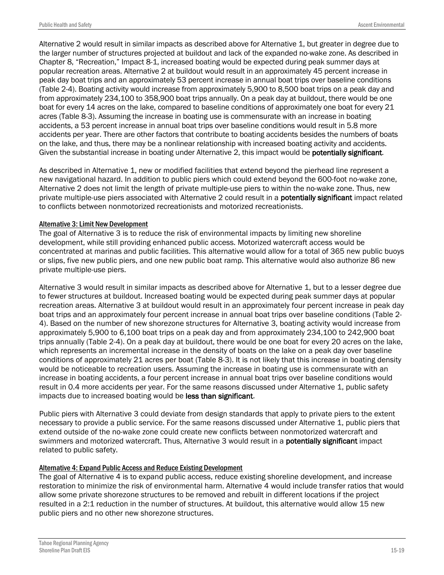Alternative 2 would result in similar impacts as described above for Alternative 1, but greater in degree due to the larger number of structures projected at buildout and lack of the expanded no-wake zone. As described in Chapter 8, "Recreation," Impact 8-1, increased boating would be expected during peak summer days at popular recreation areas. Alternative 2 at buildout would result in an approximately 45 percent increase in peak day boat trips and an approximately 53 percent increase in annual boat trips over baseline conditions (Table 2-4). Boating activity would increase from approximately 5,900 to 8,500 boat trips on a peak day and from approximately 234,100 to 358,900 boat trips annually. On a peak day at buildout, there would be one boat for every 14 acres on the lake, compared to baseline conditions of approximately one boat for every 21 acres (Table 8-3). Assuming the increase in boating use is commensurate with an increase in boating accidents, a 53 percent increase in annual boat trips over baseline conditions would result in 5.8 more accidents per year. There are other factors that contribute to boating accidents besides the numbers of boats on the lake, and thus, there may be a nonlinear relationship with increased boating activity and accidents. Given the substantial increase in boating under Alternative 2, this impact would be **potentially significant**.

As described in Alternative 1, new or modified facilities that extend beyond the pierhead line represent a new navigational hazard. In addition to public piers which could extend beyond the 600-foot no-wake zone, Alternative 2 does not limit the length of private multiple-use piers to within the no-wake zone. Thus, new private multiple-use piers associated with Alternative 2 could result in a potentially significant impact related to conflicts between nonmotorized recreationists and motorized recreationists.

#### Alternative 3: Limit New Development

The goal of Alternative 3 is to reduce the risk of environmental impacts by limiting new shoreline development, while still providing enhanced public access. Motorized watercraft access would be concentrated at marinas and public facilities. This alternative would allow for a total of 365 new public buoys or slips, five new public piers, and one new public boat ramp. This alternative would also authorize 86 new private multiple-use piers.

Alternative 3 would result in similar impacts as described above for Alternative 1, but to a lesser degree due to fewer structures at buildout. Increased boating would be expected during peak summer days at popular recreation areas. Alternative 3 at buildout would result in an approximately four percent increase in peak day boat trips and an approximately four percent increase in annual boat trips over baseline conditions (Table 2- 4). Based on the number of new shorezone structures for Alternative 3, boating activity would increase from approximately 5,900 to 6,100 boat trips on a peak day and from approximately 234,100 to 242,900 boat trips annually (Table 2-4). On a peak day at buildout, there would be one boat for every 20 acres on the lake, which represents an incremental increase in the density of boats on the lake on a peak day over baseline conditions of approximately 21 acres per boat (Table 8-3). It is not likely that this increase in boating density would be noticeable to recreation users. Assuming the increase in boating use is commensurate with an increase in boating accidents, a four percent increase in annual boat trips over baseline conditions would result in 0.4 more accidents per year. For the same reasons discussed under Alternative 1, public safety impacts due to increased boating would be less than significant.

Public piers with Alternative 3 could deviate from design standards that apply to private piers to the extent necessary to provide a public service. For the same reasons discussed under Alternative 1, public piers that extend outside of the no-wake zone could create new conflicts between nonmotorized watercraft and swimmers and motorized watercraft. Thus, Alternative 3 would result in a **potentially significant** impact related to public safety.

#### Alternative 4: Expand Public Access and Reduce Existing Development

The goal of Alternative 4 is to expand public access, reduce existing shoreline development, and increase restoration to minimize the risk of environmental harm. Alternative 4 would include transfer ratios that would allow some private shorezone structures to be removed and rebuilt in different locations if the project resulted in a 2:1 reduction in the number of structures. At buildout, this alternative would allow 15 new public piers and no other new shorezone structures.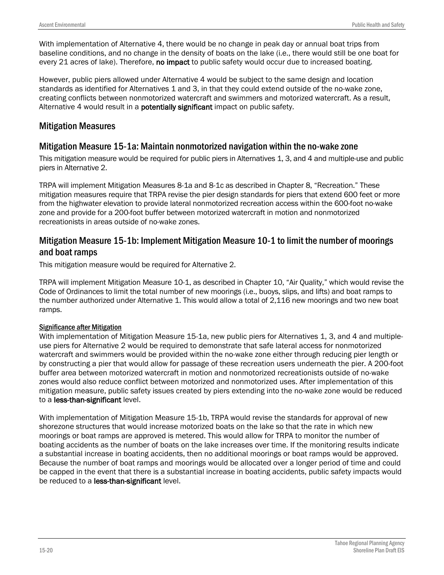With implementation of Alternative 4, there would be no change in peak day or annual boat trips from baseline conditions, and no change in the density of boats on the lake (i.e., there would still be one boat for every 21 acres of lake). Therefore, no impact to public safety would occur due to increased boating.

However, public piers allowed under Alternative 4 would be subject to the same design and location standards as identified for Alternatives 1 and 3, in that they could extend outside of the no-wake zone, creating conflicts between nonmotorized watercraft and swimmers and motorized watercraft. As a result, Alternative 4 would result in a potentially significant impact on public safety.

#### Mitigation Measures

### Mitigation Measure 15-1a: Maintain nonmotorized navigation within the no-wake zone

This mitigation measure would be required for public piers in Alternatives 1, 3, and 4 and multiple-use and public piers in Alternative 2.

TRPA will implement Mitigation Measures 8-1a and 8-1c as described in Chapter 8, "Recreation." These mitigation measures require that TRPA revise the pier design standards for piers that extend 600 feet or more from the highwater elevation to provide lateral nonmotorized recreation access within the 600-foot no-wake zone and provide for a 200-foot buffer between motorized watercraft in motion and nonmotorized recreationists in areas outside of no-wake zones.

### Mitigation Measure 15-1b: Implement Mitigation Measure 10-1 to limit the number of moorings and boat ramps

This mitigation measure would be required for Alternative 2.

TRPA will implement Mitigation Measure 10-1, as described in Chapter 10, "Air Quality," which would revise the Code of Ordinances to limit the total number of new moorings (i.e., buoys, slips, and lifts) and boat ramps to the number authorized under Alternative 1. This would allow a total of 2,116 new moorings and two new boat ramps.

#### Significance after Mitigation

With implementation of Mitigation Measure 15-1a, new public piers for Alternatives 1, 3, and 4 and multipleuse piers for Alternative 2 would be required to demonstrate that safe lateral access for nonmotorized watercraft and swimmers would be provided within the no-wake zone either through reducing pier length or by constructing a pier that would allow for passage of these recreation users underneath the pier. A 200-foot buffer area between motorized watercraft in motion and nonmotorized recreationists outside of no-wake zones would also reduce conflict between motorized and nonmotorized uses. After implementation of this mitigation measure, public safety issues created by piers extending into the no-wake zone would be reduced to a less-than-significant level.

With implementation of Mitigation Measure 15-1b, TRPA would revise the standards for approval of new shorezone structures that would increase motorized boats on the lake so that the rate in which new moorings or boat ramps are approved is metered. This would allow for TRPA to monitor the number of boating accidents as the number of boats on the lake increases over time. If the monitoring results indicate a substantial increase in boating accidents, then no additional moorings or boat ramps would be approved. Because the number of boat ramps and moorings would be allocated over a longer period of time and could be capped in the event that there is a substantial increase in boating accidents, public safety impacts would be reduced to a less-than-significant level.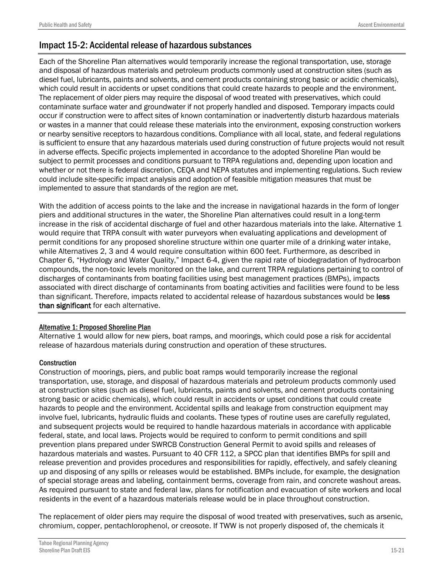## Impact 15-2: Accidental release of hazardous substances

Each of the Shoreline Plan alternatives would temporarily increase the regional transportation, use, storage and disposal of hazardous materials and petroleum products commonly used at construction sites (such as diesel fuel, lubricants, paints and solvents, and cement products containing strong basic or acidic chemicals), which could result in accidents or upset conditions that could create hazards to people and the environment. The replacement of older piers may require the disposal of wood treated with preservatives, which could contaminate surface water and groundwater if not properly handled and disposed. Temporary impacts could occur if construction were to affect sites of known contamination or inadvertently disturb hazardous materials or wastes in a manner that could release these materials into the environment, exposing construction workers or nearby sensitive receptors to hazardous conditions. Compliance with all local, state, and federal regulations is sufficient to ensure that any hazardous materials used during construction of future projects would not result in adverse effects. Specific projects implemented in accordance to the adopted Shoreline Plan would be subject to permit processes and conditions pursuant to TRPA regulations and, depending upon location and whether or not there is federal discretion, CEQA and NEPA statutes and implementing regulations. Such review could include site-specific impact analysis and adoption of feasible mitigation measures that must be implemented to assure that standards of the region are met.

With the addition of access points to the lake and the increase in navigational hazards in the form of longer piers and additional structures in the water, the Shoreline Plan alternatives could result in a long-term increase in the risk of accidental discharge of fuel and other hazardous materials into the lake. Alternative 1 would require that TRPA consult with water purveyors when evaluating applications and development of permit conditions for any proposed shoreline structure within one quarter mile of a drinking water intake, while Alternatives 2, 3 and 4 would require consultation within 600 feet. Furthermore, as described in Chapter 6, "Hydrology and Water Quality," Impact 6-4, given the rapid rate of biodegradation of hydrocarbon compounds, the non-toxic levels monitored on the lake, and current TRPA regulations pertaining to control of discharges of contaminants from boating facilities using best management practices (BMPs), impacts associated with direct discharge of contaminants from boating activities and facilities were found to be less than significant. Therefore, impacts related to accidental release of hazardous substances would be less than significant for each alternative.

#### Alternative 1: Proposed Shoreline Plan

Alternative 1 would allow for new piers, boat ramps, and moorings, which could pose a risk for accidental release of hazardous materials during construction and operation of these structures.

#### **Construction**

Construction of moorings, piers, and public boat ramps would temporarily increase the regional transportation, use, storage, and disposal of hazardous materials and petroleum products commonly used at construction sites (such as diesel fuel, lubricants, paints and solvents, and cement products containing strong basic or acidic chemicals), which could result in accidents or upset conditions that could create hazards to people and the environment. Accidental spills and leakage from construction equipment may involve fuel, lubricants, hydraulic fluids and coolants. These types of routine uses are carefully regulated, and subsequent projects would be required to handle hazardous materials in accordance with applicable federal, state, and local laws. Projects would be required to conform to permit conditions and spill prevention plans prepared under SWRCB Construction General Permit to avoid spills and releases of hazardous materials and wastes. Pursuant to 40 CFR 112, a SPCC plan that identifies BMPs for spill and release prevention and provides procedures and responsibilities for rapidly, effectively, and safely cleaning up and disposing of any spills or releases would be established. BMPs include, for example, the designation of special storage areas and labeling, containment berms, coverage from rain, and concrete washout areas. As required pursuant to state and federal law, plans for notification and evacuation of site workers and local residents in the event of a hazardous materials release would be in place throughout construction.

The replacement of older piers may require the disposal of wood treated with preservatives, such as arsenic, chromium, copper, pentachlorophenol, or creosote. If TWW is not properly disposed of, the chemicals it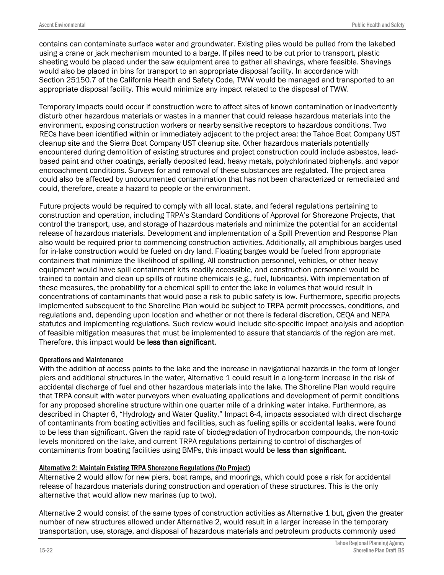contains can contaminate surface water and groundwater. Existing piles would be pulled from the lakebed using a crane or jack mechanism mounted to a barge. If piles need to be cut prior to transport, plastic sheeting would be placed under the saw equipment area to gather all shavings, where feasible. Shavings would also be placed in bins for transport to an appropriate disposal facility. In accordance with Section 25150.7 of the California Health and Safety Code, TWW would be managed and transported to an appropriate disposal facility. This would minimize any impact related to the disposal of TWW.

Temporary impacts could occur if construction were to affect sites of known contamination or inadvertently disturb other hazardous materials or wastes in a manner that could release hazardous materials into the environment, exposing construction workers or nearby sensitive receptors to hazardous conditions. Two RECs have been identified within or immediately adjacent to the project area: the Tahoe Boat Company UST cleanup site and the Sierra Boat Company UST cleanup site. Other hazardous materials potentially encountered during demolition of existing structures and project construction could include asbestos, leadbased paint and other coatings, aerially deposited lead, heavy metals, polychlorinated biphenyls, and vapor encroachment conditions. Surveys for and removal of these substances are regulated. The project area could also be affected by undocumented contamination that has not been characterized or remediated and could, therefore, create a hazard to people or the environment.

Future projects would be required to comply with all local, state, and federal regulations pertaining to construction and operation, including TRPA's Standard Conditions of Approval for Shorezone Projects, that control the transport, use, and storage of hazardous materials and minimize the potential for an accidental release of hazardous materials. Development and implementation of a Spill Prevention and Response Plan also would be required prior to commencing construction activities. Additionally, all amphibious barges used for in-lake construction would be fueled on dry land. Floating barges would be fueled from appropriate containers that minimize the likelihood of spilling. All construction personnel, vehicles, or other heavy equipment would have spill containment kits readily accessible, and construction personnel would be trained to contain and clean up spills of routine chemicals (e.g., fuel, lubricants). With implementation of these measures, the probability for a chemical spill to enter the lake in volumes that would result in concentrations of contaminants that would pose a risk to public safety is low. Furthermore, specific projects implemented subsequent to the Shoreline Plan would be subject to TRPA permit processes, conditions, and regulations and, depending upon location and whether or not there is federal discretion, CEQA and NEPA statutes and implementing regulations. Such review would include site-specific impact analysis and adoption of feasible mitigation measures that must be implemented to assure that standards of the region are met. Therefore, this impact would be less than significant.

#### Operations and Maintenance

With the addition of access points to the lake and the increase in navigational hazards in the form of longer piers and additional structures in the water, Alternative 1 could result in a long-term increase in the risk of accidental discharge of fuel and other hazardous materials into the lake. The Shoreline Plan would require that TRPA consult with water purveyors when evaluating applications and development of permit conditions for any proposed shoreline structure within one quarter mile of a drinking water intake. Furthermore, as described in Chapter 6, "Hydrology and Water Quality," Impact 6-4, impacts associated with direct discharge of contaminants from boating activities and facilities, such as fueling spills or accidental leaks, were found to be less than significant. Given the rapid rate of biodegradation of hydrocarbon compounds, the non-toxic levels monitored on the lake, and current TRPA regulations pertaining to control of discharges of contaminants from boating facilities using BMPs, this impact would be less than significant.

#### Alternative 2: Maintain Existing TRPA Shorezone Regulations (No Project)

Alternative 2 would allow for new piers, boat ramps, and moorings, which could pose a risk for accidental release of hazardous materials during construction and operation of these structures. This is the only alternative that would allow new marinas (up to two).

Alternative 2 would consist of the same types of construction activities as Alternative 1 but, given the greater number of new structures allowed under Alternative 2, would result in a larger increase in the temporary transportation, use, storage, and disposal of hazardous materials and petroleum products commonly used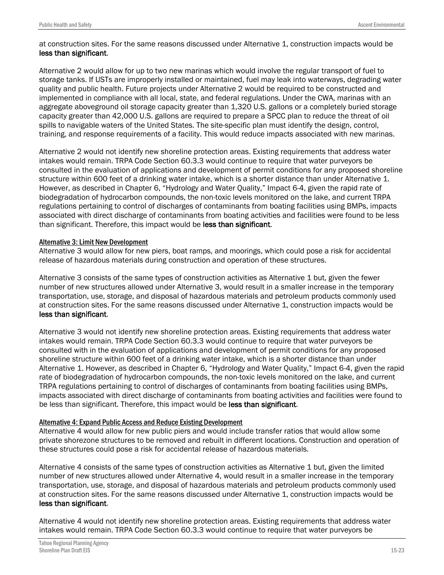at construction sites. For the same reasons discussed under Alternative 1, construction impacts would be less than significant.

Alternative 2 would allow for up to two new marinas which would involve the regular transport of fuel to storage tanks. If USTs are improperly installed or maintained, fuel may leak into waterways, degrading water quality and public health. Future projects under Alternative 2 would be required to be constructed and implemented in compliance with all local, state, and federal regulations. Under the CWA, marinas with an aggregate aboveground oil storage capacity greater than 1,320 U.S. gallons or a completely buried storage capacity greater than 42,000 U.S. gallons are required to prepare a SPCC plan to reduce the threat of oil spills to navigable waters of the United States. The site-specific plan must identify the design, control, training, and response requirements of a facility. This would reduce impacts associated with new marinas.

Alternative 2 would not identify new shoreline protection areas. Existing requirements that address water intakes would remain. TRPA Code Section 60.3.3 would continue to require that water purveyors be consulted in the evaluation of applications and development of permit conditions for any proposed shoreline structure within 600 feet of a drinking water intake, which is a shorter distance than under Alternative 1. However, as described in Chapter 6, "Hydrology and Water Quality," Impact 6-4, given the rapid rate of biodegradation of hydrocarbon compounds, the non-toxic levels monitored on the lake, and current TRPA regulations pertaining to control of discharges of contaminants from boating facilities using BMPs, impacts associated with direct discharge of contaminants from boating activities and facilities were found to be less than significant. Therefore, this impact would be less than significant.

#### Alternative 3: Limit New Development

Alternative 3 would allow for new piers, boat ramps, and moorings, which could pose a risk for accidental release of hazardous materials during construction and operation of these structures.

Alternative 3 consists of the same types of construction activities as Alternative 1 but, given the fewer number of new structures allowed under Alternative 3, would result in a smaller increase in the temporary transportation, use, storage, and disposal of hazardous materials and petroleum products commonly used at construction sites. For the same reasons discussed under Alternative 1, construction impacts would be less than significant.

Alternative 3 would not identify new shoreline protection areas. Existing requirements that address water intakes would remain. TRPA Code Section 60.3.3 would continue to require that water purveyors be consulted with in the evaluation of applications and development of permit conditions for any proposed shoreline structure within 600 feet of a drinking water intake, which is a shorter distance than under Alternative 1. However, as described in Chapter 6, "Hydrology and Water Quality," Impact 6-4, given the rapid rate of biodegradation of hydrocarbon compounds, the non-toxic levels monitored on the lake, and current TRPA regulations pertaining to control of discharges of contaminants from boating facilities using BMPs, impacts associated with direct discharge of contaminants from boating activities and facilities were found to be less than significant. Therefore, this impact would be less than significant.

#### Alternative 4: Expand Public Access and Reduce Existing Development

Alternative 4 would allow for new public piers and would include transfer ratios that would allow some private shorezone structures to be removed and rebuilt in different locations. Construction and operation of these structures could pose a risk for accidental release of hazardous materials.

Alternative 4 consists of the same types of construction activities as Alternative 1 but, given the limited number of new structures allowed under Alternative 4, would result in a smaller increase in the temporary transportation, use, storage, and disposal of hazardous materials and petroleum products commonly used at construction sites. For the same reasons discussed under Alternative 1, construction impacts would be less than significant.

Alternative 4 would not identify new shoreline protection areas. Existing requirements that address water intakes would remain. TRPA Code Section 60.3.3 would continue to require that water purveyors be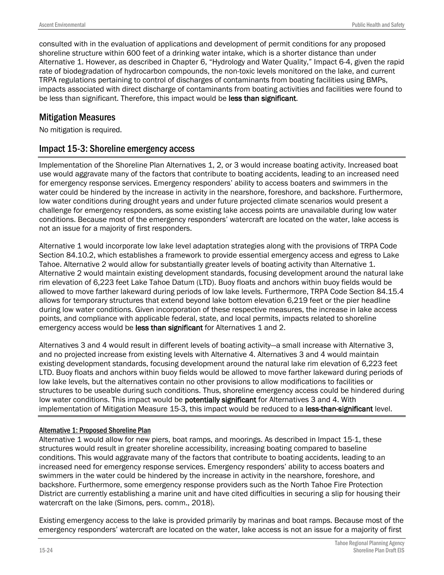consulted with in the evaluation of applications and development of permit conditions for any proposed shoreline structure within 600 feet of a drinking water intake, which is a shorter distance than under Alternative 1. However, as described in Chapter 6, "Hydrology and Water Quality," Impact 6-4, given the rapid rate of biodegradation of hydrocarbon compounds, the non-toxic levels monitored on the lake, and current TRPA regulations pertaining to control of discharges of contaminants from boating facilities using BMPs, impacts associated with direct discharge of contaminants from boating activities and facilities were found to be less than significant. Therefore, this impact would be less than significant.

#### Mitigation Measures

No mitigation is required.

### Impact 15-3: Shoreline emergency access

Implementation of the Shoreline Plan Alternatives 1, 2, or 3 would increase boating activity. Increased boat use would aggravate many of the factors that contribute to boating accidents, leading to an increased need for emergency response services. Emergency responders' ability to access boaters and swimmers in the water could be hindered by the increase in activity in the nearshore, foreshore, and backshore. Furthermore, low water conditions during drought years and under future projected climate scenarios would present a challenge for emergency responders, as some existing lake access points are unavailable during low water conditions. Because most of the emergency responders' watercraft are located on the water, lake access is not an issue for a majority of first responders.

Alternative 1 would incorporate low lake level adaptation strategies along with the provisions of TRPA Code Section 84.10.2, which establishes a framework to provide essential emergency access and egress to Lake Tahoe. Alternative 2 would allow for substantially greater levels of boating activity than Alternative 1. Alternative 2 would maintain existing development standards, focusing development around the natural lake rim elevation of 6,223 feet Lake Tahoe Datum (LTD). Buoy floats and anchors within buoy fields would be allowed to move farther lakeward during periods of low lake levels. Furthermore, TRPA Code Section 84.15.4 allows for temporary structures that extend beyond lake bottom elevation 6,219 feet or the pier headline during low water conditions. Given incorporation of these respective measures, the increase in lake access points, and compliance with applicable federal, state, and local permits, impacts related to shoreline emergency access would be less than significant for Alternatives 1 and 2.

Alternatives 3 and 4 would result in different levels of boating activity—a small increase with Alternative 3, and no projected increase from existing levels with Alternative 4. Alternatives 3 and 4 would maintain existing development standards, focusing development around the natural lake rim elevation of 6,223 feet LTD. Buoy floats and anchors within buoy fields would be allowed to move farther lakeward during periods of low lake levels, but the alternatives contain no other provisions to allow modifications to facilities or structures to be useable during such conditions. Thus, shoreline emergency access could be hindered during low water conditions. This impact would be **potentially significant** for Alternatives 3 and 4. With implementation of Mitigation Measure 15-3, this impact would be reduced to a less-than-significant level.

#### Alternative 1: Proposed Shoreline Plan

Alternative 1 would allow for new piers, boat ramps, and moorings. As described in Impact 15-1, these structures would result in greater shoreline accessibility, increasing boating compared to baseline conditions. This would aggravate many of the factors that contribute to boating accidents, leading to an increased need for emergency response services. Emergency responders' ability to access boaters and swimmers in the water could be hindered by the increase in activity in the nearshore, foreshore, and backshore. Furthermore, some emergency response providers such as the North Tahoe Fire Protection District are currently establishing a marine unit and have cited difficulties in securing a slip for housing their watercraft on the lake (Simons, pers. comm., 2018).

Existing emergency access to the lake is provided primarily by marinas and boat ramps. Because most of the emergency responders' watercraft are located on the water, lake access is not an issue for a majority of first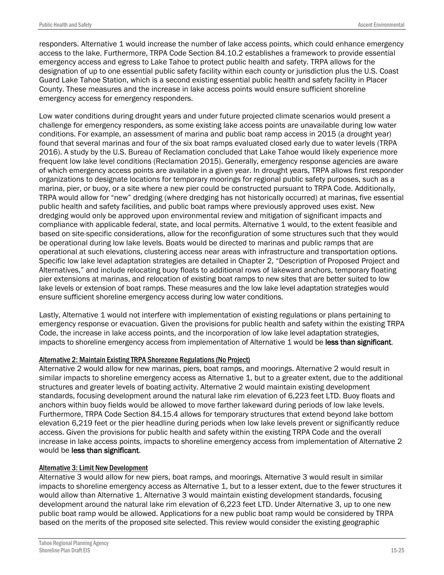responders. Alternative 1 would increase the number of lake access points, which could enhance emergency access to the lake. Furthermore, TRPA Code Section 84.10.2 establishes a framework to provide essential emergency access and egress to Lake Tahoe to protect public health and safety. TRPA allows for the designation of up to one essential public safety facility within each county or jurisdiction plus the U.S. Coast Guard Lake Tahoe Station, which is a second existing essential public health and safety facility in Placer County. These measures and the increase in lake access points would ensure sufficient shoreline emergency access for emergency responders.

Low water conditions during drought years and under future projected climate scenarios would present a challenge for emergency responders, as some existing lake access points are unavailable during low water conditions. For example, an assessment of marina and public boat ramp access in 2015 (a drought year) found that several marinas and four of the six boat ramps evaluated closed early due to water levels (TRPA 2016). A study by the U.S. Bureau of Reclamation concluded that Lake Tahoe would likely experience more frequent low lake level conditions (Reclamation 2015). Generally, emergency response agencies are aware of which emergency access points are available in a given year. In drought years, TRPA allows first responder organizations to designate locations for temporary moorings for regional public safety purposes, such as a marina, pier, or buoy, or a site where a new pier could be constructed pursuant to TRPA Code. Additionally, TRPA would allow for "new" dredging (where dredging has not historically occurred) at marinas, five essential public health and safety facilities, and public boat ramps where previously approved uses exist. New dredging would only be approved upon environmental review and mitigation of significant impacts and compliance with applicable federal, state, and local permits. Alternative 1 would, to the extent feasible and based on site-specific considerations, allow for the reconfiguration of some structures such that they would be operational during low lake levels. Boats would be directed to marinas and public ramps that are operational at such elevations, clustering access near areas with infrastructure and transportation options. Specific low lake level adaptation strategies are detailed in Chapter 2, "Description of Proposed Project and Alternatives," and include relocating buoy floats to additional rows of lakeward anchors, temporary floating pier extensions at marinas, and relocation of existing boat ramps to new sites that are better suited to low lake levels or extension of boat ramps. These measures and the low lake level adaptation strategies would ensure sufficient shoreline emergency access during low water conditions.

Lastly, Alternative 1 would not interfere with implementation of existing regulations or plans pertaining to emergency response or evacuation. Given the provisions for public health and safety within the existing TRPA Code, the increase in lake access points, and the incorporation of low lake level adaptation strategies, impacts to shoreline emergency access from implementation of Alternative 1 would be less than significant.

#### Alternative 2: Maintain Existing TRPA Shorezone Regulations (No Project)

Alternative 2 would allow for new marinas, piers, boat ramps, and moorings. Alternative 2 would result in similar impacts to shoreline emergency access as Alternative 1, but to a greater extent, due to the additional structures and greater levels of boating activity. Alternative 2 would maintain existing development standards, focusing development around the natural lake rim elevation of 6,223 feet LTD. Buoy floats and anchors within buoy fields would be allowed to move farther lakeward during periods of low lake levels. Furthermore, TRPA Code Section 84.15.4 allows for temporary structures that extend beyond lake bottom elevation 6,219 feet or the pier headline during periods when low lake levels prevent or significantly reduce access. Given the provisions for public health and safety within the existing TRPA Code and the overall increase in lake access points, impacts to shoreline emergency access from implementation of Alternative 2 would be less than significant.

#### Alternative 3: Limit New Development

Alternative 3 would allow for new piers, boat ramps, and moorings. Alternative 3 would result in similar impacts to shoreline emergency access as Alternative 1, but to a lesser extent, due to the fewer structures it would allow than Alternative 1. Alternative 3 would maintain existing development standards, focusing development around the natural lake rim elevation of 6,223 feet LTD. Under Alternative 3, up to one new public boat ramp would be allowed. Applications for a new public boat ramp would be considered by TRPA based on the merits of the proposed site selected. This review would consider the existing geographic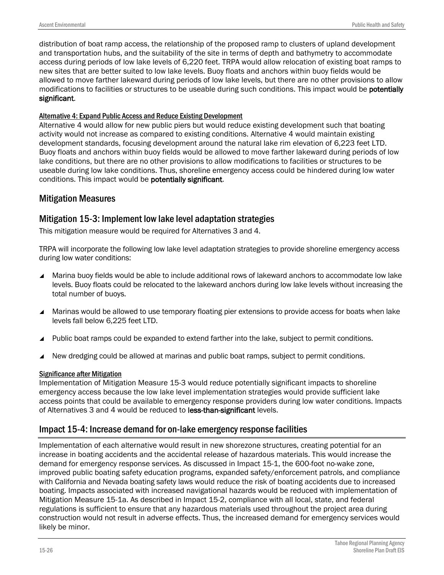distribution of boat ramp access, the relationship of the proposed ramp to clusters of upland development and transportation hubs, and the suitability of the site in terms of depth and bathymetry to accommodate access during periods of low lake levels of 6,220 feet. TRPA would allow relocation of existing boat ramps to new sites that are better suited to low lake levels. Buoy floats and anchors within buoy fields would be allowed to move farther lakeward during periods of low lake levels, but there are no other provisions to allow modifications to facilities or structures to be useable during such conditions. This impact would be potentially significant.

#### Alternative 4: Expand Public Access and Reduce Existing Development

Alternative 4 would allow for new public piers but would reduce existing development such that boating activity would not increase as compared to existing conditions. Alternative 4 would maintain existing development standards, focusing development around the natural lake rim elevation of 6,223 feet LTD. Buoy floats and anchors within buoy fields would be allowed to move farther lakeward during periods of low lake conditions, but there are no other provisions to allow modifications to facilities or structures to be useable during low lake conditions. Thus, shoreline emergency access could be hindered during low water conditions. This impact would be potentially significant.

### Mitigation Measures

### Mitigation 15-3: Implement low lake level adaptation strategies

This mitigation measure would be required for Alternatives 3 and 4.

TRPA will incorporate the following low lake level adaptation strategies to provide shoreline emergency access during low water conditions:

- ▲ Marina buoy fields would be able to include additional rows of lakeward anchors to accommodate low lake levels. Buoy floats could be relocated to the lakeward anchors during low lake levels without increasing the total number of buoys.
- ▲ Marinas would be allowed to use temporary floating pier extensions to provide access for boats when lake levels fall below 6,225 feet LTD.
- Public boat ramps could be expanded to extend farther into the lake, subject to permit conditions.
- New dredging could be allowed at marinas and public boat ramps, subject to permit conditions.

#### Significance after Mitigation

Implementation of Mitigation Measure 15-3 would reduce potentially significant impacts to shoreline emergency access because the low lake level implementation strategies would provide sufficient lake access points that could be available to emergency response providers during low water conditions. Impacts of Alternatives 3 and 4 would be reduced to less-than-significant levels.

### Impact 15-4: Increase demand for on-lake emergency response facilities

Implementation of each alternative would result in new shorezone structures, creating potential for an increase in boating accidents and the accidental release of hazardous materials. This would increase the demand for emergency response services. As discussed in Impact 15-1, the 600-foot no-wake zone, improved public boating safety education programs, expanded safety/enforcement patrols, and compliance with California and Nevada boating safety laws would reduce the risk of boating accidents due to increased boating. Impacts associated with increased navigational hazards would be reduced with implementation of Mitigation Measure 15-1a. As described in Impact 15-2, compliance with all local, state, and federal regulations is sufficient to ensure that any hazardous materials used throughout the project area during construction would not result in adverse effects. Thus, the increased demand for emergency services would likely be minor.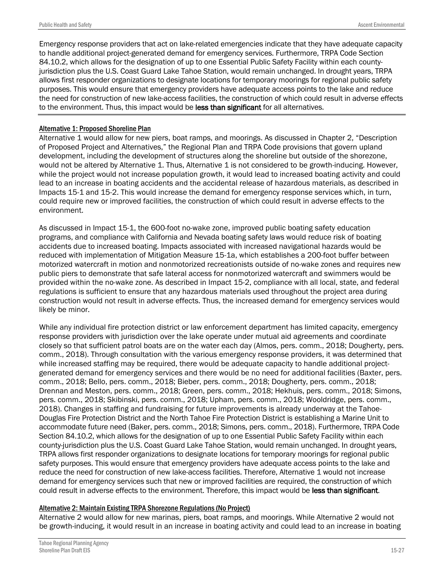Emergency response providers that act on lake-related emergencies indicate that they have adequate capacity to handle additional project-generated demand for emergency services. Furthermore, TRPA Code Section 84.10.2, which allows for the designation of up to one Essential Public Safety Facility within each countyjurisdiction plus the U.S. Coast Guard Lake Tahoe Station, would remain unchanged. In drought years, TRPA allows first responder organizations to designate locations for temporary moorings for regional public safety purposes. This would ensure that emergency providers have adequate access points to the lake and reduce the need for construction of new lake-access facilities, the construction of which could result in adverse effects to the environment. Thus, this impact would be less than significant for all alternatives.

#### Alternative 1: Proposed Shoreline Plan

Alternative 1 would allow for new piers, boat ramps, and moorings. As discussed in Chapter 2, "Description of Proposed Project and Alternatives," the Regional Plan and TRPA Code provisions that govern upland development, including the development of structures along the shoreline but outside of the shorezone, would not be altered by Alternative 1. Thus, Alternative 1 is not considered to be growth-inducing. However, while the project would not increase population growth, it would lead to increased boating activity and could lead to an increase in boating accidents and the accidental release of hazardous materials, as described in Impacts 15-1 and 15-2. This would increase the demand for emergency response services which, in turn, could require new or improved facilities, the construction of which could result in adverse effects to the environment.

As discussed in Impact 15-1, the 600-foot no-wake zone, improved public boating safety education programs, and compliance with California and Nevada boating safety laws would reduce risk of boating accidents due to increased boating. Impacts associated with increased navigational hazards would be reduced with implementation of Mitigation Measure 15-1a, which establishes a 200-foot buffer between motorized watercraft in motion and nonmotorized recreationists outside of no-wake zones and requires new public piers to demonstrate that safe lateral access for nonmotorized watercraft and swimmers would be provided within the no-wake zone. As described in Impact 15-2, compliance with all local, state, and federal regulations is sufficient to ensure that any hazardous materials used throughout the project area during construction would not result in adverse effects. Thus, the increased demand for emergency services would likely be minor.

While any individual fire protection district or law enforcement department has limited capacity, emergency response providers with jurisdiction over the lake operate under mutual aid agreements and coordinate closely so that sufficient patrol boats are on the water each day (Almos, pers. comm., 2018; Dougherty, pers. comm., 2018). Through consultation with the various emergency response providers, it was determined that while increased staffing may be required, there would be adequate capacity to handle additional projectgenerated demand for emergency services and there would be no need for additional facilities (Baxter, pers. comm., 2018; Bello, pers. comm., 2018; Bieber, pers. comm., 2018; Dougherty, pers. comm., 2018; Drennan and Meston, pers. comm., 2018; Green, pers. comm., 2018; Hekhuis, pers. comm., 2018; Simons, pers. comm., 2018; Skibinski, pers. comm., 2018; Upham, pers. comm., 2018; Wooldridge, pers. comm., 2018). Changes in staffing and fundraising for future improvements is already underway at the Tahoe-Douglas Fire Protection District and the North Tahoe Fire Protection District is establishing a Marine Unit to accommodate future need (Baker, pers. comm., 2018; Simons, pers. comm., 2018). Furthermore, TRPA Code Section 84.10.2, which allows for the designation of up to one Essential Public Safety Facility within each county-jurisdiction plus the U.S. Coast Guard Lake Tahoe Station, would remain unchanged. In drought years, TRPA allows first responder organizations to designate locations for temporary moorings for regional public safety purposes. This would ensure that emergency providers have adequate access points to the lake and reduce the need for construction of new lake-access facilities. Therefore, Alternative 1 would not increase demand for emergency services such that new or improved facilities are required, the construction of which could result in adverse effects to the environment. Therefore, this impact would be less than significant.

#### Alternative 2: Maintain Existing TRPA Shorezone Regulations (No Project)

Alternative 2 would allow for new marinas, piers, boat ramps, and moorings. While Alternative 2 would not be growth-inducing, it would result in an increase in boating activity and could lead to an increase in boating